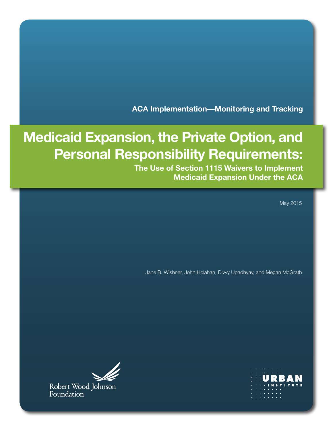**ACA Implementation—Monitoring and Tracking**

# **Medicaid Expansion, the Private Option, and Personal Responsibility Requirements:**

**The Use of Section 1115 Waivers to Implement Medicaid Expansion Under the ACA**

May 2015

Jane B. Wishner, John Holahan, Divvy Upadhyay, and Megan McGrath



Robert Wood Johnson Foundation

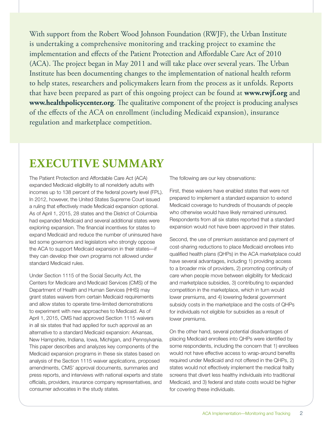With support from the Robert Wood Johnson Foundation (RWJF), the Urban Institute is undertaking a comprehensive monitoring and tracking project to examine the implementation and effects of the Patient Protection and Affordable Care Act of 2010 (ACA). The project began in May 2011 and will take place over several years. The Urban Institute has been documenting changes to the implementation of national health reform to help states, researchers and policymakers learn from the process as it unfolds. Reports that have been prepared as part of this ongoing project can be found at **[www.rwjf.org](http://www.rwjf.org)** and **[www.healthpolicycenter.org](http://www.healthpolicycenter.org)**. The qualitative component of the project is producing analyses of the effects of the ACA on enrollment (including Medicaid expansion), insurance regulation and marketplace competition.

# **EXECUTIVE SUMMARY**

The Patient Protection and Affordable Care Act (ACA) expanded Medicaid eligibility to all nonelderly adults with incomes up to 138 percent of the federal poverty level (FPL). In 2012, however, the United States Supreme Court issued a ruling that effectively made Medicaid expansion optional. As of April 1, 2015, 28 states and the District of Columbia had expanded Medicaid and several additional states were exploring expansion. The financial incentives for states to expand Medicaid and reduce the number of uninsured have led some governors and legislators who strongly oppose the ACA to support Medicaid expansion in their states—if they can develop their own programs not allowed under standard Medicaid rules.

Under Section 1115 of the Social Security Act, the Centers for Medicare and Medicaid Services (CMS) of the Department of Health and Human Services (HHS) may grant states waivers from certain Medicaid requirements and allow states to operate time-limited demonstrations to experiment with new approaches to Medicaid. As of April 1, 2015, CMS had approved Section 1115 waivers in all six states that had applied for such approval as an alternative to a standard Medicaid expansion: Arkansas, New Hampshire, Indiana, Iowa, Michigan, and Pennsylvania. This paper describes and analyzes key components of the Medicaid expansion programs in these six states based on analysis of the Section 1115 waiver applications, proposed amendments, CMS' approval documents, summaries and press reports, and interviews with national experts and state officials, providers, insurance company representatives, and consumer advocates in the study states.

The following are our key observations:

First, these waivers have enabled states that were not prepared to implement a standard expansion to extend Medicaid coverage to hundreds of thousands of people who otherwise would have likely remained uninsured. Respondents from all six states reported that a standard expansion would not have been approved in their states.

Second, the use of premium assistance and payment of cost-sharing reductions to place Medicaid enrollees into qualified health plans (QHPs) in the ACA marketplace could have several advantages, including 1) providing access to a broader mix of providers, 2) promoting continuity of care when people move between eligibility for Medicaid and marketplace subsidies, 3) contributing to expanded competition in the marketplace, which in turn would lower premiums, and 4) lowering federal government subsidy costs in the marketplace and the costs of QHPs for individuals not eligible for subsidies as a result of lower premiums.

On the other hand, several potential disadvantages of placing Medicaid enrollees into QHPs were identified by some respondents, including the concern that 1) enrollees would not have effective access to wrap-around benefits required under Medicaid and not offered in the QHPs, 2) states would not effectively implement the medical frailty screens that divert less healthy individuals into traditional Medicaid, and 3) federal and state costs would be higher for covering these individuals.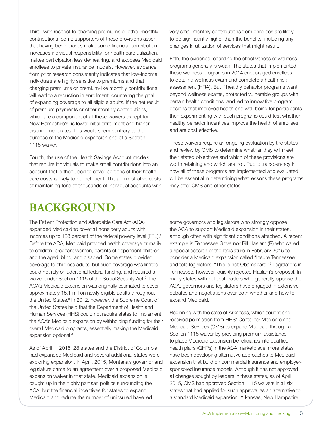Third, with respect to charging premiums or other monthly contributions, some supporters of these provisions assert that having beneficiaries make some financial contribution increases individual responsibility for health care utilization, makes participation less demeaning, and exposes Medicaid enrollees to private insurance models. However, evidence from prior research consistently indicates that low-income individuals are highly sensitive to premiums and that charging premiums or premium-like monthly contributions will lead to a reduction in enrollment, countering the goal of expanding coverage to all eligible adults. If the net result of premium payments or other monthly contributions, which are a component of all these waivers except for New Hampshire's, is lower initial enrollment and higher disenrollment rates, this would seem contrary to the purpose of the Medicaid expansion and of a Section 1115 waiver.

Fourth, the use of the Health Savings Account models that require individuals to make small contributions into an account that is then used to cover portions of their health care costs is likely to be inefficient. The administrative costs of maintaining tens of thousands of individual accounts with very small monthly contributions from enrollees are likely to be significantly higher than the benefits, including any changes in utilization of services that might result.

Fifth, the evidence regarding the effectiveness of wellness programs generally is weak. The states that implemented these wellness programs in 2014 encouraged enrollees to obtain a wellness exam and complete a health risk assessment (HRA). But if healthy behavior programs went beyond wellness exams, protected vulnerable groups with certain health conditions, and led to innovative program designs that improved health and well-being for participants, then experimenting with such programs could test whether healthy behavior incentives improve the health of enrollees and are cost effective.

These waivers require an ongoing evaluation by the states and review by CMS to determine whether they will meet their stated objectives and which of these provisions are worth retaining and which are not. Public transparency in how all of these programs are implemented and evaluated will be essential in determining what lessons these programs may offer CMS and other states.

# **BACKGROUND**

The Patient Protection and Affordable Care Act (ACA) expanded Medicaid to cover all nonelderly adults with incomes up to 138 percent of the federal poverty level (FPL).<sup>1</sup> Before the ACA, Medicaid provided health coverage primarily to children, pregnant women, parents of dependent children, and the aged, blind, and disabled. Some states provided coverage to childless adults, but such coverage was limited, could not rely on additional federal funding, and required a waiver under Section 1115 of the Social Security Act.2 The ACA's Medicaid expansion was originally estimated to cover approximately 15.1 million newly eligible adults throughout the United States.<sup>3</sup> In 2012, however, the Supreme Court of the United States held that the Department of Health and Human Services (HHS) could not require states to implement the ACA's Medicaid expansion by withholding funding for their overall Medicaid programs, essentially making the Medicaid expansion optional.<sup>4</sup>

As of April 1, 2015, 28 states and the District of Columbia had expanded Medicaid and several additional states were exploring expansion. In April, 2015, Montana's governor and legislature came to an agreement over a proposed Medicaid expansion waiver in that state. Medicaid expansion is caught up in the highly partisan politics surrounding the ACA, but the financial incentives for states to expand Medicaid and reduce the number of uninsured have led

some governors and legislators who strongly oppose the ACA to support Medicaid expansion in their states, although often with significant conditions attached. A recent example is Tennessee Governor Bill Haslam (R) who called a special session of the legislature in February 2015 to consider a Medicaid expansion called "Insure Tennessee" and told legislators, "This is not Obamacare."5 Legislators in Tennessee, however, quickly rejected Haslam's proposal. In many states with political leaders who generally oppose the ACA, governors and legislators have engaged in extensive debates and negotiations over both whether and how to expand Medicaid.

Beginning with the state of Arkansas, which sought and received permission from HHS' Center for Medicare and Medicaid Services (CMS) to expand Medicaid through a Section 1115 waiver by providing premium assistance to place Medicaid expansion beneficiaries into qualified health plans (QHPs) in the ACA marketplace, more states have been developing alternative approaches to Medicaid expansion that build on commercial insurance and employersponsored insurance models. Although it has not approved all changes sought by leaders in these states, as of April 1, 2015, CMS had approved Section 1115 waivers in all six states that had applied for such approval as an alternative to a standard Medicaid expansion: Arkansas, New Hampshire,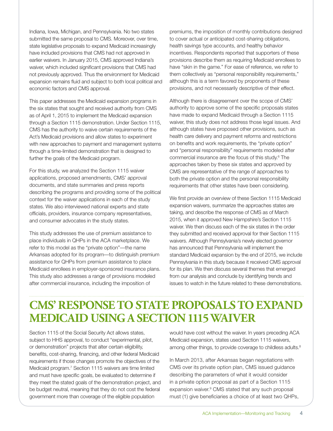Indiana, Iowa, Michigan, and Pennsylvania. No two states submitted the same proposal to CMS. Moreover, over time, state legislative proposals to expand Medicaid increasingly have included provisions that CMS had not approved in earlier waivers. In January 2015, CMS approved Indiana's waiver, which included significant provisions that CMS had not previously approved. Thus the environment for Medicaid expansion remains fluid and subject to both local political and economic factors and CMS approval.

This paper addresses the Medicaid expansion programs in the six states that sought and received authority from CMS as of April 1, 2015 to implement the Medicaid expansion through a Section 1115 demonstration. Under Section 1115, CMS has the authority to waive certain requirements of the Act's Medicaid provisions and allow states to experiment with new approaches to payment and management systems through a time-limited demonstration that is designed to further the goals of the Medicaid program.

For this study, we analyzed the Section 1115 waiver applications, proposed amendments, CMS' approval documents, and state summaries and press reports describing the programs and providing some of the political context for the waiver applications in each of the study states. We also interviewed national experts and state officials, providers, insurance company representatives, and consumer advocates in the study states.

This study addresses the use of premium assistance to place individuals in QHPs in the ACA marketplace. We refer to this model as the "private option"—the name Arkansas adopted for its program—to distinguish premium assistance for QHPs from premium assistance to place Medicaid enrollees in employer-sponsored insurance plans. This study also addresses a range of provisions modeled after commercial insurance, including the imposition of

premiums, the imposition of monthly contributions designed to cover actual or anticipated cost-sharing obligations, health savings type accounts, and healthy behavior incentives. Respondents reported that supporters of these provisions describe them as requiring Medicaid enrollees to have "skin in the game." For ease of reference, we refer to them collectively as "personal responsibility requirements," although this is a term favored by proponents of these provisions, and not necessarily descriptive of their effect.

Although there is disagreement over the scope of CMS' authority to approve some of the specific proposals states have made to expand Medicaid through a Section 1115 waiver, this study does not address those legal issues. And although states have proposed other provisions, such as health care delivery and payment reforms and restrictions on benefits and work requirements, the "private option" and "personal responsibility" requirements modeled after commercial insurance are the focus of this study.6 The approaches taken by these six states and approved by CMS are representative of the range of approaches to both the private option and the personal responsibility requirements that other states have been considering.

We first provide an overview of these Section 1115 Medicaid expansion waivers, summarize the approaches states are taking, and describe the response of CMS as of March 2015, when it approved New Hampshire's Section 1115 waiver. We then discuss each of the six states in the order they submitted and received approval for their Section 1115 waivers. Although Pennsylvania's newly elected governor has announced that Pennsylvania will implement the standard Medicaid expansion by the end of 2015, we include Pennsylvania in this study because it received CMS approval for its plan. We then discuss several themes that emerged from our analysis and conclude by identifying trends and issues to watch in the future related to these demonstrations.

# **CMS' RESPONSE TO STATE PROPOSALS TO EXPAND MEDICAID USING A SECTION 1115 WAIVER**

Section 1115 of the Social Security Act allows states, subject to HHS approval, to conduct "experimental, pilot, or demonstration" projects that alter certain eligibility, benefits, cost-sharing, financing, and other federal Medicaid requirements if those changes promote the objectives of the Medicaid program.<sup>7</sup> Section 1115 waivers are time limited and must have specific goals, be evaluated to determine if they meet the stated goals of the demonstration project, and be budget neutral, meaning that they do not cost the federal government more than coverage of the eligible population

would have cost without the waiver. In years preceding ACA Medicaid expansion, states used Section 1115 waivers, among other things, to provide coverage to childless adults.<sup>8</sup>

In March 2013, after Arkansas began negotiations with CMS over its private option plan, CMS issued guidance describing the parameters of what it would consider in a private option proposal as part of a Section 1115 expansion waiver.<sup>9</sup> CMS stated that any such proposal must (1) give beneficiaries a choice of at least two QHPs,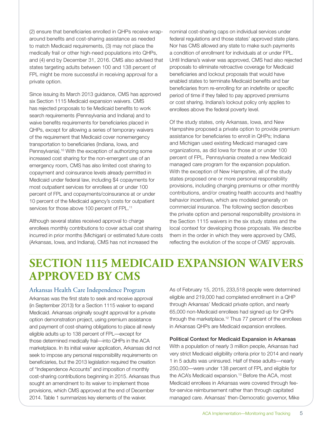(2) ensure that beneficiaries enrolled in QHPs receive wraparound benefits and cost-sharing assistance as needed to match Medicaid requirements, (3) may not place the medically frail or other high-need populations into QHPs, and (4) end by December 31, 2016. CMS also advised that states targeting adults between 100 and 138 percent of FPL might be more successful in receiving approval for a private option.

Since issuing its March 2013 guidance, CMS has approved six Section 1115 Medicaid expansion waivers. CMS has rejected proposals to tie Medicaid benefits to work search requirements (Pennsylvania and Indiana) and to waive benefits requirements for beneficiaries placed in QHPs, except for allowing a series of temporary waivers of the requirement that Medicaid cover nonemergency transportation to beneficiaries (Indiana, Iowa, and Pennsylvania).<sup>10</sup> With the exception of authorizing some increased cost sharing for the non-emergent use of an emergency room, CMS has also limited cost sharing to copayment and coinsurance levels already permitted in Medicaid under federal law, including \$4 copayments for most outpatient services for enrollees at or under 100 percent of FPL and copayments/coinsurance at or under 10 percent of the Medicaid agency's costs for outpatient services for those above 100 percent of FPL.<sup>11</sup>

Although several states received approval to charge enrollees monthly contributions to cover actual cost sharing incurred in prior months (Michigan) or estimated future costs (Arkansas, Iowa, and Indiana), CMS has not increased the

nominal cost-sharing caps on individual services under federal regulations and those states' approved state plans. Nor has CMS allowed any state to make such payments a condition of enrollment for individuals at or under FPL. Until Indiana's waiver was approved, CMS had also rejected proposals to eliminate retroactive coverage for Medicaid beneficiaries and lockout proposals that would have enabled states to terminate Medicaid benefits and bar beneficiaries from re-enrolling for an indefinite or specific period of time if they failed to pay approved premiums or cost sharing. Indiana's lockout policy only applies to enrollees above the federal poverty level.

Of the study states, only Arkansas, Iowa, and New Hampshire proposed a private option to provide premium assistance for beneficiaries to enroll in QHPs; Indiana and Michigan used existing Medicaid managed care organizations, as did Iowa for those at or under 100 percent of FPL. Pennsylvania created a new Medicaid managed care program for the expansion population. With the exception of New Hampshire, all of the study states proposed one or more personal responsibility provisions, including charging premiums or other monthly contributions, and/or creating health accounts and healthy behavior incentives, which are modeled generally on commercial insurance. The following section describes the private option and personal responsibility provisions in the Section 1115 waivers in the six study states and the local context for developing those proposals. We describe them in the order in which they were approved by CMS, reflecting the evolution of the scope of CMS' approvals.

# **SECTION 1115 MEDICAID EXPANSION WAIVERS APPROVED BY CMS**

## Arkansas Health Care Independence Program

Arkansas was the first state to seek and receive approval (in September 2013) for a Section 1115 waiver to expand Medicaid. Arkansas originally sought approval for a private option demonstration project, using premium assistance and payment of cost-sharing obligations to place all newly eligible adults up to 138 percent of FPL—except for those determined medically frail—into QHPs in the ACA marketplace. In its initial waiver application, Arkansas did not seek to impose any personal responsibility requirements on beneficiaries, but the 2013 legislation required the creation of "Independence Accounts" and imposition of monthly cost-sharing contributions beginning in 2015. Arkansas thus sought an amendment to its waiver to implement those provisions, which CMS approved at the end of December 2014. Table 1 summarizes key elements of the waiver.

As of February 15, 2015, 233,518 people were determined eligible and 219,000 had completed enrollment in a QHP through Arkansas' Medicaid private option, and nearly 65,000 non-Medicaid enrollees had signed up for QHPs through the marketplace.12 Thus 77 percent of the enrollees in Arkansas QHPs are Medicaid expansion enrollees.

### Political Context for Medicaid Expansion in Arkansas

With a population of nearly 3 million people, Arkansas had very strict Medicaid eligibility criteria prior to 2014 and nearly 1 in 5 adults was uninsured. Half of these adults—nearly 250,000—were under 138 percent of FPL and eligible for the ACA's Medicaid expansion.<sup>13</sup> Before the ACA, most Medicaid enrollees in Arkansas were covered through feefor-service reimbursement rather than through capitated managed care. Arkansas' then-Democratic governor, Mike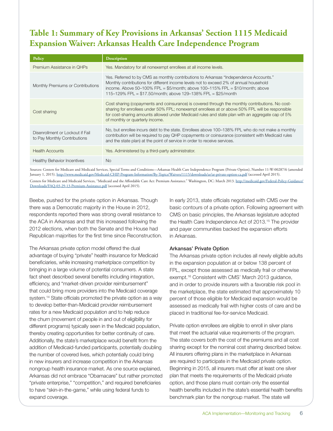# **Table 1: Summary of Key Provisions in Arkansas' Section 1115 Medicaid Expansion Waiver: Arkansas Health Care Independence Program**

| Policy                                                           | <b>Description</b>                                                                                                                                                                                                                                                                                                                          |
|------------------------------------------------------------------|---------------------------------------------------------------------------------------------------------------------------------------------------------------------------------------------------------------------------------------------------------------------------------------------------------------------------------------------|
| Premium Assistance in OHPs                                       | Yes. Mandatory for all nonexempt enrollees at all income levels.                                                                                                                                                                                                                                                                            |
| Monthly Premiums or Contributions                                | Yes. Referred to by CMS as monthly contributions to Arkansas "Independence Accounts."<br>Monthly contributions for different income levels not to exceed 2% of annual household<br>income. Above 50-100% FPL = $$5/m$ onth; above 100-115% FPL = $$10/m$ onth; above<br>115-129% FPL = \$17.50/month; above 129-138% FPL = \$25/month       |
| Cost sharing                                                     | Cost sharing (copayments and coinsurance) is covered through the monthly contributions. No cost-<br>sharing for enrollees under 50% FPL; nonexempt enrollees at or above 50% FPL will be responsible<br>for cost-sharing amounts allowed under Medicaid rules and state plan with an aggregate cap of 5%<br>of monthly or quarterly income. |
| Disenrollment or Lockout if Fail<br>to Pay Monthly Contributions | No, but enrollee incurs debt to the state. Enrollees above 100–138% FPL who do not make a monthly<br>contribution will be required to pay QHP copayments or coinsurance (consistent with Medicaid rules<br>and the state plan) at the point of service in order to receive services.                                                        |
| <b>Health Accounts</b>                                           | Yes. Administered by a third-party administrator.                                                                                                                                                                                                                                                                                           |
| <b>Healthy Behavior Incentives</b>                               | <b>No</b>                                                                                                                                                                                                                                                                                                                                   |

Sources: Centers for Medicare and Medicaid Services, Special Terms and Conditions—Arkansas Health Care Independence Program (Private Option), Number 11-W-00287/6 (amended January 1, 2015).<http://www.medicaid.gov/Medicaid-CHIP-Program-Information/By-Topics/Waivers/1115/downloads/ar/ar-private-option-ca.pdf>(accessed April 2015). Centers for Medicare and Medicaid Services, "Medicaid and the Affordable Care Act: Premium Assistance." Washington, DC: March 2013. [http://medicaid.gov/Federal-Policy-Guidance/](http://medicaid.gov/Federal-Policy-Guidance/Downloads/FAQ-03-29-13-Premium-Assistance.pdf) [Downloads/FAQ-03-29-13-Premium-Assistance.pdf](http://medicaid.gov/Federal-Policy-Guidance/Downloads/FAQ-03-29-13-Premium-Assistance.pdf) (accessed April 2015).

Beebe, pushed for the private option in Arkansas. Though there was a Democratic majority in the House in 2012, respondents reported there was strong overall resistance to the ACA in Arkansas and that this increased following the 2012 elections, when both the Senate and the House had Republican majorities for the first time since Reconstruction.

The Arkansas private option model offered the dual advantage of buying "private" health insurance for Medicaid beneficiaries, while increasing marketplace competition by bringing in a large volume of potential consumers. A state fact sheet described several benefits including integration, efficiency, and "market-driven provider reimbursement" that could bring more providers into the Medicaid coverage system.<sup>14</sup> State officials promoted the private option as a way to develop better-than-Medicaid provider reimbursement rates for a new Medicaid population and to help reduce the churn (movement of people in and out of eligibility for different programs) typically seen in the Medicaid population, thereby creating opportunities for better continuity of care. Additionally, the state's marketplace would benefit from the addition of Medicaid-funded participants, potentially doubling the number of covered lives, which potentially could bring in new insurers and increase competition in the Arkansas nongroup health insurance market. As one source explained, Arkansas did not embrace "Obamacare" but rather promoted "private enterprise," "competition," and required beneficiaries to have "skin-in-the-game," while using federal funds to expand coverage.

In early 2013, state officials negotiated with CMS over the basic contours of a private option. Following agreement with CMS on basic principles, the Arkansas legislature adopted the Health Care Independence Act of 2013.<sup>15</sup> The provider and payer communities backed the expansion efforts in Arkansas.

#### Arkansas' Private Option

The Arkansas private option includes all newly eligible adults in the expansion population at or below 138 percent of FPL, except those assessed as medically frail or otherwise exempt.<sup>16</sup> Consistent with CMS' March 2013 guidance, and in order to provide insurers with a favorable risk pool in the marketplace, the state estimated that approximately 10 percent of those eligible for Medicaid expansion would be assessed as medically frail with higher costs of care and be placed in traditional fee-for-service Medicaid.

Private option enrollees are eligible to enroll in silver plans that meet the actuarial value requirements of the program. The state covers both the cost of the premiums and all cost sharing except for the nominal cost sharing described below. All insurers offering plans in the marketplace in Arkansas are required to participate in the Medicaid private option. Beginning in 2015, all insurers must offer at least one silver plan that meets the requirements of the Medicaid private option, and those plans must contain only the essential health benefits included in the state's essential health benefits benchmark plan for the nongroup market. The state will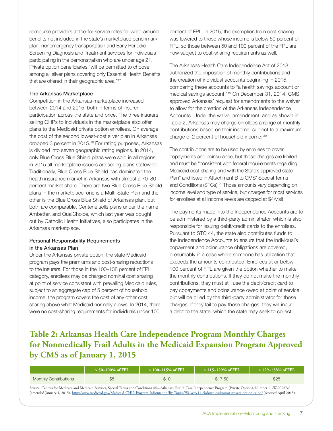reimburse providers at fee-for-service rates for wrap-around benefits not included in the state's marketplace benchmark plan: nonemergency transportation and Early Periodic Screening Diagnosis and Treatment services for individuals participating in the demonstration who are under age 21. Private option beneficiaries "will be permitted to choose among all silver plans covering only Essential Health Benefits that are offered in their geographic area."<sup>17</sup>

#### The Arkansas Marketplace

Competition in the Arkansas marketplace increased between 2014 and 2015, both in terms of insurer participation across the state and price. The three insurers selling QHPs to individuals in the marketplace also offer plans to the Medicaid private option enrollees. On average the cost of the second lowest-cost silver plan in Arkansas dropped 3 percent in 2015.18 For rating purposes, Arkansas is divided into seven geographic rating regions. In 2014, only Blue Cross Blue Shield plans were sold in all regions; in 2015 all marketplace issuers are selling plans statewide. Traditionally, Blue Cross Blue Shield has dominated the health insurance market in Arkansas with almost a 70–80 percent market share. There are two Blue Cross Blue Shield plans in the marketplace–one is a Multi-State Plan and the other is the Blue Cross Blue Shield of Arkansas plan, but both are comparable. Centene sells plans under the name Ambetter, and QualChoice, which last year was bought out by Catholic Health Initiatives, also participates in the Arkansas marketplace.

#### Personal Responsibility Requirements in the Arkansas Plan

Under the Arkansas private option, the state Medicaid program pays the premiums and cost-sharing reductions to the insurers. For those in the 100–138 percent of FPL category, enrollees may be charged nominal cost sharing at point of service consistent with prevailing Medicaid rules, subject to an aggregate cap of 5 percent of household income; the program covers the cost of any other cost sharing above what Medicaid normally allows. In 2014, there were no cost-sharing requirements for individuals under 100

percent of FPL. In 2015, the exemption from cost sharing was lowered to those whose income is below 50 percent of FPL, so those between 50 and 100 percent of the FPL are now subject to cost-sharing requirements as well.

The Arkansas Health Care Independence Act of 2013 authorized the imposition of monthly contributions and the creation of individual accounts beginning in 2015, comparing these accounts to "a health savings account or medical savings account."19 On December 31, 2014, CMS approved Arkansas' request for amendments to the waiver to allow for the creation of the Arkansas Independence Accounts. Under the waiver amendment, and as shown in Table 2, Arkansas may charge enrollees a range of monthly contributions based on their income, subject to a maximum charge of 2 percent of household income: 20

The contributions are to be used by enrollees to cover copayments and coinsurance, but those charges are limited and must be "consistent with federal requirements regarding Medicaid cost sharing and with the State's approved state Plan" and listed in Attachment B to CMS' Special Terms and Conditions (STCs).<sup>21</sup> Those amounts vary depending on income level and type of service, but charges for most services for enrollees at all income levels are capped at \$4/visit.

The payments made into the Independence Accounts are to be administered by a third-party administrator, which is also responsible for issuing debit/credit cards to the enrollees. Pursuant to STC 44, the state also contributes funds to the Independence Accounts to ensure that the individual's copayment and coinsurance obligations are covered, presumably in a case where someone has utilization that exceeds the amounts contributed. Enrollees at or below 100 percent of FPL are given the option whether to make the monthly contributions. If they do not make the monthly contributions, they must still use the debit/credit card to pay copayments and coinsurance owed at point of service, but will be billed by the third-party administrator for those charges. If they fail to pay those charges, they will incur a debt to the state, which the state may seek to collect.

# **Table 2: Arkansas Health Care Independence Program Monthly Charges for Nonmedically Frail Adults in the Medicaid Expansion Program Approved by CMS as of January 1, 2015**

|                                                                                                                                          | $> 50 - 100\%$ of FPL | $>$ 100–115% of FPL | > 115–129% of FPL | $>$ 129–138% of FPL |
|------------------------------------------------------------------------------------------------------------------------------------------|-----------------------|---------------------|-------------------|---------------------|
| <b>Monthly Contributions</b>                                                                                                             | \$5                   |                     | \$17.50           | \$25                |
| $\mathcal{C}$ . CMP IMPIES $\mathcal{C}$ it is a set of the set of the construction of $\mathcal{C}$ . The construction of $\mathcal{C}$ |                       |                     |                   |                     |

Source: Centers for Medicare and Medicaid Services, Special Terms and Conditions 44—Arkansas Health Care Independence Program (Private Option), Number 11-W-00287/6 (amended January 1, 2015).<http://www.medicaid.gov/Medicaid-CHIP-Program-Information/By-Topics/Waivers/1115/downloads/ar/ar-private-option-ca.pdf>(accessed April 2015).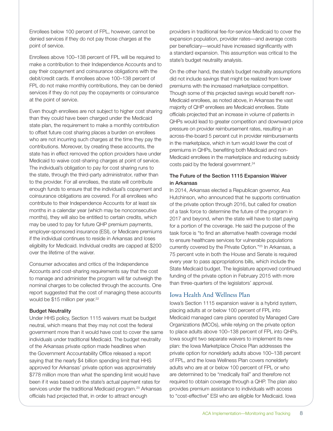Enrollees below 100 percent of FPL, however, cannot be denied services if they do not pay those charges at the point of service.

Enrollees above 100–138 percent of FPL will be required to make a contribution to their Independence Accounts and to pay their copayment and coinsurance obligations with the debit/credit cards. If enrollees above 100–138 percent of FPL do not make monthly contributions, they can be denied services if they do not pay the copayments or coinsurance at the point of service.

Even though enrollees are not subject to higher cost sharing than they could have been charged under the Medicaid state plan, the requirement to make a monthly contribution to offset future cost sharing places a burden on enrollees who are not incurring such charges at the time they pay the contributions. Moreover, by creating these accounts, the state has in effect removed the option providers have under Medicaid to waive cost-sharing charges at point of service. The individual's obligation to pay for cost sharing runs to the state, through the third-party administrator, rather than to the provider. For all enrollees, the state will contribute enough funds to ensure that the individual's copayment and coinsurance obligations are covered. For all enrollees who contribute to their Independence Accounts for at least six months in a calendar year (which may be nonconsecutive months), they will also be entitled to certain credits, which may be used to pay for future QHP premium payments, employer-sponsored insurance (ESI), or Medicare premiums if the individual continues to reside in Arkansas and loses eligibility for Medicaid. Individual credits are capped at \$200 over the lifetime of the waiver.

Consumer advocates and critics of the Independence Accounts and cost-sharing requirements say that the cost to manage and administer the program will far outweigh the nominal charges to be collected through the accounts. One report suggested that the cost of managing these accounts would be \$15 million per year.<sup>22</sup>

#### Budget Neutrality

Under HHS policy, Section 1115 waivers must be budget neutral, which means that they may not cost the federal government more than it would have cost to cover the same individuals under traditional Medicaid. The budget neutrality of the Arkansas private option made headlines when the Government Accountability Office released a report saying that the nearly \$4 billion spending limit that HHS approved for Arkansas' private option was approximately \$778 million more than what the spending limit would have been if it was based on the state's actual payment rates for services under the traditional Medicaid program.<sup>23</sup> Arkansas officials had projected that, in order to attract enough

providers in traditional fee-for-service Medicaid to cover the expansion population, provider rates—and average costs per beneficiary—would have increased significantly with a standard expansion. This assumption was critical to the state's budget neutrality analysis.

On the other hand, the state's budget neutrality assumptions did not include savings that might be realized from lower premiums with the increased marketplace competition. Though some of this projected savings would benefit non-Medicaid enrollees, as noted above, in Arkansas the vast majority of QHP enrollees are Medicaid enrollees. State officials projected that an increase in volume of patients in QHPs would lead to greater competition and downward price pressure on provider reimbursement rates, resulting in an across-the-board 5 percent cut in provider reimbursements in the marketplace, which in turn would lower the cost of premiums in QHPs, benefiting both Medicaid and non-Medicaid enrollees in the marketplace and reducing subsidy costs paid by the federal government.<sup>24</sup>

#### The Future of the Section 1115 Expansion Waiver in Arkansas

In 2014, Arkansas elected a Republican governor, Asa Hutchinson, who announced that he supports continuation of the private option through 2016, but called for creation of a task force to determine the future of the program in 2017 and beyond, when the state will have to start paying for a portion of the coverage. He said the purpose of the task force is "to find an alternative health coverage model to ensure healthcare services for vulnerable populations currently covered by the Private Option."25 In Arkansas, a 75 percent vote in both the House and Senate is required every year to pass appropriations bills, which include the State Medicaid budget. The legislature approved continued funding of the private option in February 2015 with more than three-quarters of the legislators' approval.

### Iowa Health And Wellness Plan

Iowa's Section 1115 expansion waiver is a hybrid system, placing adults at or below 100 percent of FPL into Medicaid managed care plans operated by Managed Care Organizations (MCOs), while relying on the private option to place adults above 100–138 percent of FPL into QHPs. Iowa sought two separate waivers to implement its new plan: the Iowa Marketplace Choice Plan addresses the private option for nonelderly adults above 100–138 percent of FPL, and the Iowa Wellness Plan covers nonelderly adults who are at or below 100 percent of FPL or who are determined to be "medically frail" and therefore not required to obtain coverage through a QHP. The plan also provides premium assistance to individuals with access to "cost-effective" ESI who are eligible for Medicaid. Iowa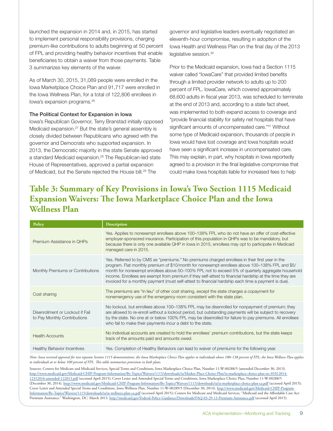launched the expansion in 2014 and, in 2015, has started to implement personal responsibility provisions, charging premium-like contributions to adults beginning at 50 percent of FPL and providing healthy behavior incentives that enable beneficiaries to obtain a waiver from those payments. Table 3 summarizes key elements of the waiver.

As of March 30, 2015, 31,089 people were enrolled in the Iowa Marketplace Choice Plan and 91,717 were enrolled in the Iowa Wellness Plan, for a total of 122,806 enrollees in Iowa's expansion programs.26

#### The Political Context for Expansion in Iowa

Iowa's Republican Governor, Terry Branstad initially opposed Medicaid expansion.27 But the state's general assembly is closely divided between Republicans who agreed with the governor and Democrats who supported expansion. In 2013, the Democratic majority in the state Senate approved a standard Medicaid expansion.<sup>28</sup> The Republican-led state House of Representatives, approved a partial expansion of Medicaid, but the Senate rejected the House bill.<sup>29</sup> The

governor and legislative leaders eventually negotiated an eleventh-hour compromise, resulting in adoption of the Iowa Health and Wellness Plan on the final day of the 2013 legislative session.<sup>30</sup>

Prior to the Medicaid expansion, Iowa had a Section 1115 waiver called "IowaCare" that provided limited benefits through a limited provider network to adults up to 200 percent of FPL. IowaCare, which covered approximately 68,600 adults in fiscal year 2013, was scheduled to terminate at the end of 2013 and, according to a state fact sheet, was implemented to both expand access to coverage and "provide financial stability for safety net hospitals that have significant amounts of uncompensated care."<sup>31</sup> Without some type of Medicaid expansion, thousands of people in Iowa would have lost coverage and Iowa hospitals would have seen a significant increase in uncompensated care. This may explain, in part, why hospitals in Iowa reportedly agreed to a provision in the final legislative compromise that could make Iowa hospitals liable for increased fees to help

## **Table 3: Summary of Key Provisions in Iowa's Two Section 1115 Medicaid Expansion Waivers: The Iowa Marketplace Choice Plan and the Iowa Wellness Plan**

| Policy                                                           | <b>Description</b>                                                                                                                                                                                                                                                                                                                                                                                                                                                                                                         |
|------------------------------------------------------------------|----------------------------------------------------------------------------------------------------------------------------------------------------------------------------------------------------------------------------------------------------------------------------------------------------------------------------------------------------------------------------------------------------------------------------------------------------------------------------------------------------------------------------|
| Premium Assistance in OHPs                                       | Yes. Applies to nonexempt enrollees above 100–138% FPL who do not have an offer of cost-effective<br>employer-sponsored insurance. Participation of this population in QHPs was to be mandatory, but<br>because there is only one available QHP in Iowa in 2015, enrollees may opt to participate in Medicaid<br>managed care in 2015.                                                                                                                                                                                     |
| Monthly Premiums or Contributions                                | Yes. Referred to by CMS as "premiums." No premiums charged enrollees in their first year in the<br>program. Flat monthly premium of \$10/month for nonexempt enrollees above 100–138% FPL and \$5/<br>month for nonexempt enrollees above 50–100% FPL not to exceed 5% of quarterly aggregate household<br>income. Enrollees are exempt from premium if they self-attest to financial hardship at the time they are<br>invoiced for a monthly payment (must self-attest to financial hardship each time a payment is due). |
| Cost sharing                                                     | The premiums are "in lieu" of other cost sharing, except the state charges a copayment for<br>nonemergency use of the emergency room consistent with the state plan.                                                                                                                                                                                                                                                                                                                                                       |
| Disenrollment or Lockout if Fail<br>to Pay Monthly Contributions | No lockout, but enrollees above 100-138% FPL may be disenrolled for nonpayment of premium; they<br>are allowed to re-enroll without a lockout period, but outstanding payments will be subject to recovery<br>by the state. No one at or below 100% FPL may be disenrolled for failure to pay premiums. All enrollees<br>who fail to make their payments incur a debt to the state.                                                                                                                                        |
| <b>Health Accounts</b>                                           | No individual accounts are created to hold the enrollees' premium contributions, but the state keeps<br>track of the amounts paid and amounts owed.                                                                                                                                                                                                                                                                                                                                                                        |
| <b>Healthy Behavior Incentives</b>                               | Yes. Completion of Healthy Behaviors can lead to waiver of premiums for the following year.                                                                                                                                                                                                                                                                                                                                                                                                                                |

*Note: Iowa received approval for two separate Section 1115 demonstrations: the Iowa Marketplace Choice Plan applies to individuals above 100–138 percent of FPL; the Iowa Wellness Plan applies to individuals at or below 100 percent of FPL. This table summarizes provisions in both plans.* 

Sources: Centers for Medicare and Medicaid Services, Special Terms and Conditions, Iowa Marketplace Choice Plan, Number 11-W-00288/5 (amended December 30, 2013). [http://www.medicaid.gov/Medicaid-CHIP-Program-Information/By-Topics/Waivers/1115/downloads/ia/Market-Place-Choice-Plan/ia-marketplace-choice-plan-stc-01012014-](http://www.medicaid.gov/Medicaid-CHIP-Program-Information/By-Topics/Waivers/1115/downloads/ia/Market-Place-Choice-Plan/ia-marketplace-choice-plan-stc-01012014-12312016-amended-122013.pdf) [12312016-amended-122013.pdf](http://www.medicaid.gov/Medicaid-CHIP-Program-Information/By-Topics/Waivers/1115/downloads/ia/Market-Place-Choice-Plan/ia-marketplace-choice-plan-stc-01012014-12312016-amended-122013.pdf) (accessed April 2015); Cover Letter and Amended Special Terms and Conditions, Iowa Marketplace Choice Plan, Number 11-W-00288/5 (December 30, 2014). <http://www.medicaid.gov/Medicaid-CHIP-Program-Information/By-Topics/Waivers/1115/downloads/ia/ia-marketplace-choice-plan-ca.pdf>(accessed April 2015); Cover Letter and Amended Special Terms and Conditions, Iowa Wellness Plan, Number 11-W-00289/5 (December 30, 2014). [http://www.medicaid.gov/Medicaid-CHIP-Program-](http://www.medicaid.gov/Medicaid-CHIP-Program-Information/By-Topics/Waivers/1115/downloads/ia/ia-wellness-plan-ca.pdf)[Information/By-Topics/Waivers/1115/downloads/ia/ia-wellness-plan-ca.pdf](http://www.medicaid.gov/Medicaid-CHIP-Program-Information/By-Topics/Waivers/1115/downloads/ia/ia-wellness-plan-ca.pdf) (accessed April 2015); Centers for Medicare and Medicaid Services, "Medicaid and the Affordable Care Act: Premium Assistance." Washington, DC: March 2013.<http://medicaid.gov/Federal-Policy-Guidance/Downloads/FAQ-03-29-13-Premium-Assistance.pdf>(accessed April 2015).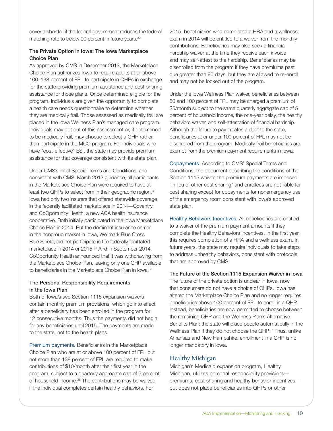cover a shortfall if the federal government reduces the federal matching rate to below 90 percent in future years.<sup>32</sup>

#### The Private Option in Iowa: The Iowa Marketplace Choice Plan

As approved by CMS in December 2013, the Marketplace Choice Plan authorizes Iowa to require adults at or above 100–138 percent of FPL to participate in QHPs in exchange for the state providing premium assistance and cost-sharing assistance for those plans. Once determined eligible for the program, individuals are given the opportunity to complete a health care needs questionnaire to determine whether they are medically frail. Those assessed as medically frail are placed in the Iowa Wellness Plan's managed care program. Individuals may opt out of this assessment or, if determined to be medically frail, may choose to select a QHP rather than participate in the MCO program. For individuals who have "cost-effective" ESI, the state may provide premium assistance for that coverage consistent with its state plan.

Under CMS's initial Special Terms and Conditions, and consistent with CMS' March 2013 guidance, all participants in the Marketplace Choice Plan were required to have at least two QHPs to select from in their geographic region.<sup>33</sup> Iowa had only two insurers that offered statewide coverage in the federally facilitated marketplace in 2014—Coventry and CoOportunity Health, a new ACA health insurance cooperative. Both initially participated in the Iowa Marketplace Choice Plan in 2014. But the dominant insurance carrier in the nongroup market in Iowa, Wellmark Blue Cross Blue Shield, did not participate in the federally facilitated marketplace in 2014 or 2015.<sup>34</sup> And in September 2014, CoOportunity Health announced that it was withdrawing from the Marketplace Choice Plan, leaving only one QHP available to beneficiaries in the Marketplace Choice Plan in Iowa.<sup>35</sup>

#### The Personal Responsibility Requirements in the Iowa Plan

Both of Iowa's two Section 1115 expansion waivers contain monthly premium provisions, which go into effect after a beneficiary has been enrolled in the program for 12 consecutive months. Thus the payments did not begin for any beneficiaries until 2015. The payments are made to the state, not to the health plans.

Premium payments. Beneficiaries in the Marketplace Choice Plan who are at or above 100 percent of FPL but not more than 138 percent of FPL are required to make contributions of \$10/month after their first year in the program, subject to a quarterly aggregate cap of 5 percent of household income.36 The contributions may be waived if the individual completes certain healthy behaviors. For

2015, beneficiaries who completed a HRA and a wellness exam in 2014 will be entitled to a waiver from the monthly contributions. Beneficiaries may also seek a financial hardship waiver at the time they receive each invoice and may self-attest to the hardship. Beneficiaries may be disenrolled from the program if they have premiums past due greater than 90 days, but they are allowed to re-enroll and may not be locked out of the program.

Under the Iowa Wellness Plan waiver, beneficiaries between 50 and 100 percent of FPL may be charged a premium of \$5/month subject to the same quarterly aggregate cap of 5 percent of household income, the one-year delay, the healthy behaviors waiver, and self-attestation of financial hardship. Although the failure to pay creates a debt to the state, beneficiaries at or under 100 percent of FPL may not be disenrolled from the program. Medically frail beneficiaries are exempt from the premium payment requirements in Iowa.

Copayments. According to CMS' Special Terms and Conditions, the document describing the conditions of the Section 1115 waiver, the premium payments are imposed "in lieu of other cost sharing" and enrollees are not liable for cost sharing except for copayments for nonemergency use of the emergency room consistent with Iowa's approved state plan.

Healthy Behaviors Incentives. All beneficiaries are entitled to a waiver of the premium payment amounts if they complete the Healthy Behaviors incentives. In the first year, this requires completion of a HRA and a wellness exam. In future years, the state may require individuals to take steps to address unhealthy behaviors, consistent with protocols that are approved by CMS.

## The Future of the Section 1115 Expansion Waiver in Iowa The future of the private option is unclear in Iowa, now

that consumers do not have a choice of QHPs. Iowa has altered the Marketplace Choice Plan and no longer requires beneficiaries above 100 percent of FPL to enroll in a QHP. Instead, beneficiaries are now permitted to choose between the remaining QHP and the Wellness Plan's Alternative Benefits Plan; the state will place people automatically in the Wellness Plan if they do not choose the QHP.<sup>37</sup> Thus, unlike Arkansas and New Hampshire, enrollment in a QHP is no longer mandatory in Iowa.

## Healthy Michigan

Michigan's Medicaid expansion program, Healthy Michigan, utilizes personal responsibility provisions premiums, cost sharing and healthy behavior incentives but does not place beneficiaries into QHPs or other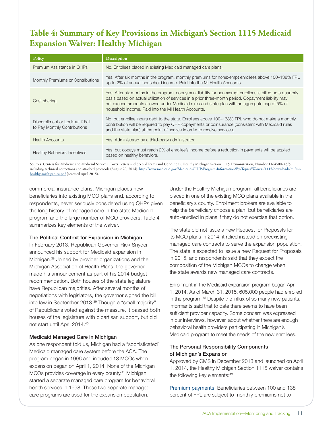# **Table 4: Summary of Key Provisions in Michigan's Section 1115 Medicaid Expansion Waiver: Healthy Michigan**

| Policy                                                           | <b>Description</b>                                                                                                                                                                                                                                                                                                                                                         |
|------------------------------------------------------------------|----------------------------------------------------------------------------------------------------------------------------------------------------------------------------------------------------------------------------------------------------------------------------------------------------------------------------------------------------------------------------|
| Premium Assistance in OHPs                                       | No. Enrollees placed in existing Medicaid managed care plans.                                                                                                                                                                                                                                                                                                              |
| Monthly Premiums or Contributions                                | Yes. After six months in the program, monthly premiums for nonexempt enrollees above 100–138% FPL<br>up to 2% of annual household income. Paid into the MI Health Accounts.                                                                                                                                                                                                |
| Cost sharing                                                     | Yes. After six months in the program, copayment liability for nonexempt enrollees is billed on a quarterly<br>basis based on actual utilization of services in a prior three-month period. Copayment liability may<br>not exceed amounts allowed under Medicaid rules and state plan with an aggregate cap of 5% of<br>household income. Paid into the MI Health Accounts. |
| Disenrollment or Lockout if Fail<br>to Pay Monthly Contributions | No, but enrollee incurs debt to the state. Enrollees above 100–138% FPL who do not make a monthly<br>contribution will be required to pay QHP copayments or coinsurance (consistent with Medicaid rules<br>and the state plan) at the point of service in order to receive services.                                                                                       |
| <b>Health Accounts</b>                                           | Yes. Administered by a third-party administrator.                                                                                                                                                                                                                                                                                                                          |
| <b>Healthy Behaviors Incentives</b>                              | Yes, but copays must reach 2% of enrollee's income before a reduction in payments will be applied<br>based on healthy behaviors.                                                                                                                                                                                                                                           |

Sources: Centers for Medicare and Medicaid Services, Cover Letters and Special Terms and Conditions, Healthy Michigan Section 1115 Demonstration, Number 11-W-00245/5, including technical corrections and attached protocols (August 29, 2014). [http://www.medicaid.gov/Medicaid-CHIP-Program-Information/By-Topics/Waivers/1115/downloads/mi/mi](http://www.medicaid.gov/Medicaid-CHIP-Program-Information/By-Topics/Waivers/1115/downloads/mi/mi-healthy-michigan-ca.pdf)[healthy-michigan-ca.pdf](http://www.medicaid.gov/Medicaid-CHIP-Program-Information/By-Topics/Waivers/1115/downloads/mi/mi-healthy-michigan-ca.pdf) (accessed April 2015).

commercial insurance plans. Michigan places new beneficiaries into existing MCO plans and, according to respondents, never seriously considered using QHPs given the long history of managed care in the state Medicaid program and the large number of MCO providers. Table 4 summarizes key elements of the waiver.

### The Political Context for Expansion in Michigan

In February 2013, Republican Governor Rick Snyder announced his support for Medicaid expansion in Michigan.38 Joined by provider organizations and the Michigan Association of Health Plans, the governor made his announcement as part of his 2014 budget recommendation. Both houses of the state legislature have Republican majorities. After several months of negotiations with legislators, the governor signed the bill into law in September 2013.<sup>39</sup> Though a "small majority" of Republicans voted against the measure, it passed both houses of the legislature with bipartisan support, but did not start until April 2014.40

### Medicaid Managed Care in Michigan

As one respondent told us, Michigan had a "sophisticated" Medicaid managed care system before the ACA. The program began in 1996 and included 13 MCOs when expansion began on April 1, 2014. None of the Michigan MCOs provides coverage in every county.41 Michigan started a separate managed care program for behavioral health services in 1998. These two separate managed care programs are used for the expansion population.

Under the Healthy Michigan program, all beneficiaries are placed in one of the existing MCO plans available in the beneficiary's county. Enrollment brokers are available to help the beneficiary choose a plan, but beneficiaries are auto-enrolled in plans if they do not exercise that option.

The state did not issue a new Request for Proposals for its MCO plans in 2014; it relied instead on preexisting managed care contracts to serve the expansion population. The state is expected to issue a new Request for Proposals in 2015, and respondents said that they expect the composition of the Michigan MCOs to change when the state awards new managed care contracts.

Enrollment in the Medicaid expansion program began April 1, 2014. As of March 31, 2015, 605,000 people had enrolled in the program.<sup>42</sup> Despite the influx of so many new patients, informants said that to date there seems to have been sufficient provider capacity. Some concern was expressed in our interviews, however, about whether there are enough behavioral health providers participating in Michigan's Medicaid program to meet the needs of the new enrollees.

### The Personal Responsibility Components of Michigan's Expansion

Approved by CMS in December 2013 and launched on April 1, 2014, the Healthy Michigan Section 1115 waiver contains the following key elements: 43

Premium payments. Beneficiaries between 100 and 138 percent of FPL are subject to monthly premiums not to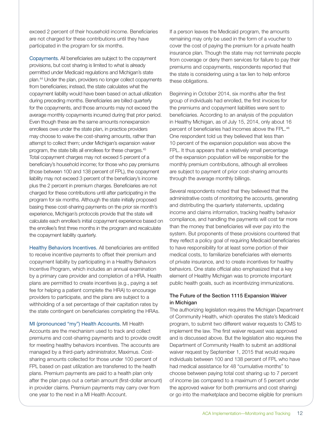exceed 2 percent of their household income. Beneficiaries are not charged for these contributions until they have participated in the program for six months.

Copayments. All beneficiaries are subject to the copayment provisions, but cost sharing is limited to what is already permitted under Medicaid regulations and Michigan's state plan.44 Under the plan, providers no longer collect copayments from beneficiaries; instead, the state calculates what the copayment liability would have been based on actual utilization during preceding months. Beneficiaries are billed quarterly for the copayments, and those amounts may not exceed the average monthly copayments incurred during that prior period. Even though these are the same amounts nonexpansion enrollees owe under the state plan, in practice providers may choose to waive the cost-sharing amounts, rather than attempt to collect them; under Michigan's expansion waiver program, the state bills all enrollees for these charges.45 Total copayment charges may not exceed 5 percent of a beneficiary's household income; for those who pay premiums (those between 100 and 138 percent of FPL), the copayment liability may not exceed 3 percent of the beneficiary's income plus the 2 percent in premium charges. Beneficiaries are not charged for these contributions until after participating in the program for six months. Although the state initially proposed basing these cost-sharing payments on the prior six month's experience, Michigan's protocols provide that the state will calculate each enrollee's initial copayment experience based on the enrollee's first three months in the program and recalculate the copayment liability quarterly.

Healthy Behaviors Incentives. All beneficiaries are entitled to receive incentive payments to offset their premium and copayment liability by participating in a Healthy Behaviors Incentive Program, which includes an annual examination by a primary care provider and completion of a HRA. Health plans are permitted to create incentives (e.g., paying a set fee for helping a patient complete the HRA) to encourage providers to participate, and the plans are subject to a withholding of a set percentage of their capitation rates by the state contingent on beneficiaries completing the HRAs.

MI (pronounced "my") Health Accounts. MI Health Accounts are the mechanism used to track and collect premiums and cost-sharing payments and to provide credit for meeting healthy behaviors incentives. The accounts are managed by a third-party administrator, Maximus. Costsharing amounts collected for those under 100 percent of FPL based on past utilization are transferred to the health plans. Premium payments are paid to a health plan only after the plan pays out a certain amount (first-dollar amount) in provider claims. Premium payments may carry over from one year to the next in a MI Health Account.

If a person leaves the Medicaid program, the amounts remaining may only be used in the form of a voucher to cover the cost of paying the premium for a private health insurance plan. Though the state may not terminate people from coverage or deny them services for failure to pay their premiums and copayments, respondents reported that the state is considering using a tax lien to help enforce these obligations.

Beginning in October 2014, six months after the first group of individuals had enrolled, the first invoices for the premiums and copayment liabilities were sent to beneficiaries. According to an analysis of the population in Healthy Michigan, as of July 15, 2014, only about 16 percent of beneficiaries had incomes above the FPL.<sup>46</sup> One respondent told us they believed that less than 10 percent of the expansion population was above the FPL. It thus appears that a relatively small percentage of the expansion population will be responsible for the monthly premium contributions, although all enrollees are subject to payment of prior cost-sharing amounts through the average monthly billings.

Several respondents noted that they believed that the administrative costs of monitoring the accounts, generating and distributing the quarterly statements, updating income and claims information, tracking healthy behavior compliance, and handling the payments will cost far more than the money that beneficiaries will ever pay into the system. But proponents of these provisions countered that they reflect a policy goal of requiring Medicaid beneficiaries to have responsibility for at least some portion of their medical costs, to familiarize beneficiaries with elements of private insurance, and to create incentives for healthy behaviors. One state official also emphasized that a key element of Healthy Michigan was to promote important public health goals, such as incentivizing immunizations.

#### The Future of the Section 1115 Expansion Waiver in Michigan

The authorizing legislation requires the Michigan Department of Community Health, which operates the state's Medicaid program, to submit two different waiver requests to CMS to implement the law. The first waiver request was approved and is discussed above. But the legislation also requires the Department of Community Health to submit an additional waiver request by September 1, 2015 that would require individuals between 100 and 138 percent of FPL who have had medical assistance for 48 "cumulative months" to choose between paying total cost sharing up to 7 percent of income (as compared to a maximum of 5 percent under the approved waiver for both premiums and cost sharing) or go into the marketplace and become eligible for premium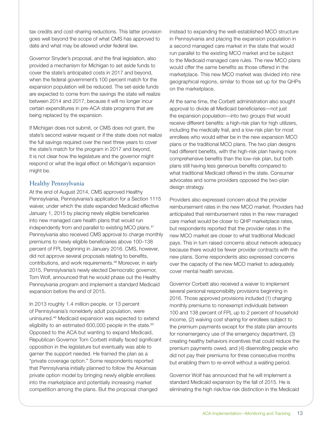tax credits and cost-sharing reductions. This latter provision goes well beyond the scope of what CMS has approved to date and what may be allowed under federal law.

Governor Snyder's proposal, and the final legislation, also provided a mechanism for Michigan to set aside funds to cover the state's anticipated costs in 2017 and beyond, when the federal government's 100 percent match for the expansion population will be reduced. The set-aside funds are expected to come from the savings the state will realize between 2014 and 2017, because it will no longer incur certain expenditures in pre-ACA state programs that are being replaced by the expansion.

If Michigan does not submit, or CMS does not grant, the state's second waiver request or if the state does not realize the full savings required over the next three years to cover the state's match for the program in 2017 and beyond, it is not clear how the legislature and the governor might respond or what the legal effect on Michigan's expansion might be.

## Healthy Pennsylvania

At the end of August 2014, CMS approved Healthy Pennsylvania, Pennsylvania's application for a Section 1115 waiver, under which the state expanded Medicaid effective January 1, 2015 by placing newly eligible beneficiaries into new managed care health plans that would run independently from and parallel to existing MCO plans.<sup>47</sup> Pennsylvania also received CMS approval to charge monthly premiums to newly eligible beneficiaries above 100–138 percent of FPL beginning in January 2016. CMS, however, did not approve several proposals relating to benefits, contributions, and work requirements.48 Moreover, in early 2015, Pennsylvania's newly elected Democratic governor, Tom Wolf, announced that he would phase out the Healthy Pennsylvania program and implement a standard Medicaid expansion before the end of 2015.

In 2013 roughly 1.4 million people, or 13 percent of Pennsylvania's nonelderly adult population, were uninsured.49 Medicaid expansion was expected to extend eligibility to an estimated 600,000 people in the state.<sup>50</sup> Opposed to the ACA but wanting to expand Medicaid, Republican Governor Tom Corbett initially faced significant opposition in the legislature but eventually was able to garner the support needed. He framed the plan as a "private coverage option." Some respondents reported that Pennsylvania initially planned to follow the Arkansas private option model by bringing newly eligible enrollees into the marketplace and potentially increasing market competition among the plans. But the proposal changed

instead to expanding the well-established MCO structure in Pennsylvania and placing the expansion population in a second managed care market in the state that would run parallel to the existing MCO market and be subject to the Medicaid managed care rules. The new MCO plans would offer the same benefits as those offered in the marketplace. This new MCO market was divided into nine geographical regions, similar to those set up for the QHPs on the marketplace.

At the same time, the Corbett administration also sought approval to divide all Medicaid beneficiaries—not just the expansion population—into two groups that would receive different benefits: a high-risk plan for high utilizers, including the medically frail, and a low-risk plan for most enrollees who would either be in the new expansion MCO plans or the traditional MCO plans. The two plan designs had different benefits, with the high-risk plan having more comprehensive benefits than the low-risk plan, but both plans still having less generous benefits compared to what traditional Medicaid offered in the state. Consumer advocates and some providers opposed the two-plan design strategy.

Providers also expressed concern about the provider reimbursement rates in the new MCO market. Providers had anticipated that reimbursement rates in the new managed care market would be closer to QHP marketplace rates, but respondents reported that the provider rates in the new MCO market are closer to what traditional Medicaid pays. This in turn raised concerns about network adequacy because there would be fewer provider contracts with the new plans. Some respondents also expressed concerns over the capacity of the new MCO market to adequately cover mental health services.

Governor Corbett also received a waiver to implement several personal responsibility provisions beginning in 2016. Those approved provisions included (1) charging monthly premiums to nonexempt individuals between 100 and 138 percent of FPL up to 2 percent of household income, (2) waiving cost sharing for enrollees subject to the premium payments except for the state plan amounts for nonemergency use of the emergency department, (3) creating healthy behaviors incentives that could reduce the premium payments owed, and (4) disenrolling people who did not pay their premiums for three consecutive months but enabling them to re-enroll without a waiting period.

Governor Wolf has announced that he will implement a standard Medicaid expansion by the fall of 2015. He is eliminating the high risk/low risk distinction in the Medicaid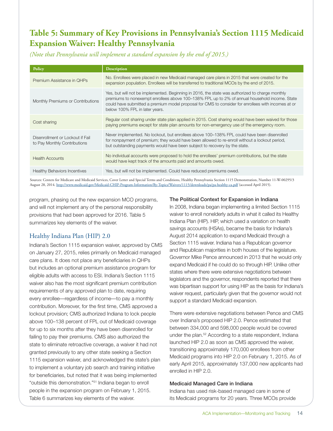# **Table 5: Summary of Key Provisions in Pennsylvania's Section 1115 Medicaid Expansion Waiver: Healthy Pennsylvania**

*(Note that Pennsylvania will implement a standard expansion by the end of 2015.)*

| Policy                                                           | <b>Description</b>                                                                                                                                                                                                                                                                                                                       |
|------------------------------------------------------------------|------------------------------------------------------------------------------------------------------------------------------------------------------------------------------------------------------------------------------------------------------------------------------------------------------------------------------------------|
| Premium Assistance in OHPs                                       | No. Enrollees were placed in new Medicaid managed care plans in 2015 that were created for the<br>expansion population. Enrollees will be transferred to traditional MCOs by the end of 2015.                                                                                                                                            |
| Monthly Premiums or Contributions                                | Yes, but will not be implemented. Beginning in 2016, the state was authorized to charge monthly<br>premiums to nonexempt enrollees above 100–138% FPL up to 2% of annual household income. State<br>could have submitted a premium model proposal for CMS to consider for enrollees with incomes at or<br>below 100% FPL in later years. |
| Cost sharing                                                     | Regular cost sharing under state plan applied in 2015. Cost sharing would have been waived for those<br>paying premiums except for state plan amounts for non-emergency use of the emergency room.                                                                                                                                       |
| Disenrollment or Lockout if Fail<br>to Pay Monthly Contributions | Never implemented. No lockout, but enrollees above 100–138% FPL could have been disenrolled<br>for nonpayment of premium; they would have been allowed to re-enroll without a lockout period,<br>but outstanding payments would have been subject to recovery by the state.                                                              |
| <b>Health Accounts</b>                                           | No individual accounts were proposed to hold the enrollees' premium contributions, but the state<br>would have kept track of the amounts paid and amounts owed.                                                                                                                                                                          |
| <b>Healthy Behaviors Incentives</b>                              | Yes, but will not be implemented. Could have reduced premiums owed.                                                                                                                                                                                                                                                                      |

Sources: Centers for Medicare and Medicaid Services, Cover Letter and Special Terms and Conditions, Healthy Pennsylvania Section 1115 Demonstration, Number 11-W-00295/3 August 28, 2014. <http://www.medicaid.gov/Medicaid-CHIP-Program-Information/By-Topics/Waivers/1115/downloads/pa/pa-healthy-ca.pdf>(accessed April 2015).

program, phasing out the new expansion MCO programs, and will not implement any of the personal responsibility provisions that had been approved for 2016. Table 5 summarizes key elements of the waiver.

## Healthy Indiana Plan (HIP) 2.0

Indiana's Section 1115 expansion waiver, approved by CMS on January 27, 2015, relies primarily on Medicaid managed care plans. It does not place any beneficiaries in QHPs but includes an optional premium assistance program for eligible adults with access to ESI. Indiana's Section 1115 waiver also has the most significant premium contribution requirements of any approved plan to date, requiring every enrollee—regardless of income—to pay a monthly contribution. Moreover, for the first time, CMS approved a lockout provision; CMS authorized Indiana to lock people above 100–138 percent of FPL out of Medicaid coverage for up to six months after they have been disenrolled for failing to pay their premiums. CMS also authorized the state to eliminate retroactive coverage, a waiver it had not granted previously to any other state seeking a Section 1115 expansion waiver, and acknowledged the state's plan to implement a voluntary job search and training initiative for beneficiaries, but noted that it was being implemented "outside this demonstration."51 Indiana began to enroll people in the expansion program on February 1, 2015. Table 6 summarizes key elements of the waiver.

### The Political Context for Expansion in Indiana

In 2008, Indiana began implementing a limited Section 1115 waiver to enroll nonelderly adults in what it called its Healthy Indiana Plan (HIP). HIP, which used a variation on health savings accounts (HSAs), became the basis for Indiana's August 2014 application to expand Medicaid through a Section 1115 waiver. Indiana has a Republican governor and Republican majorities in both houses of the legislature. Governor Mike Pence announced in 2013 that he would only expand Medicaid if he could do so through HIP. Unlike other states where there were extensive negotiations between legislators and the governor, respondents reported that there was bipartisan support for using HIP as the basis for Indiana's waiver request, particularly given that the governor would not support a standard Medicaid expansion.

There were extensive negotiations between Pence and CMS over Indiana's proposed HIP 2.0. Pence estimated that between 334,000 and 598,000 people would be covered under the plan.<sup>52</sup> According to a state respondent, Indiana launched HIP 2.0 as soon as CMS approved the waiver, transitioning approximately 170,000 enrollees from other Medicaid programs into HIP 2.0 on February 1, 2015. As of early April 2015, approximately 137,000 new applicants had enrolled in HIP 2.0.

### Medicaid Managed Care in Indiana

Indiana has used risk-based managed care in some of its Medicaid programs for 20 years. Three MCOs provide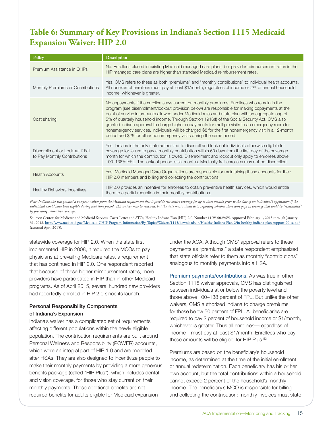# **Table 6: Summary of Key Provisions in Indiana's Section 1115 Medicaid Expansion Waiver: HIP 2.0**

| Policy                                                           | <b>Description</b>                                                                                                                                                                                                                                                                                                                                                                                                                                                                                                                                                                                                                                                                            |
|------------------------------------------------------------------|-----------------------------------------------------------------------------------------------------------------------------------------------------------------------------------------------------------------------------------------------------------------------------------------------------------------------------------------------------------------------------------------------------------------------------------------------------------------------------------------------------------------------------------------------------------------------------------------------------------------------------------------------------------------------------------------------|
| Premium Assistance in OHPs                                       | No. Enrollees placed in existing Medicaid managed care plans, but provider reimbursement rates in the<br>HIP managed care plans are higher than standard Medicaid reimbursement rates.                                                                                                                                                                                                                                                                                                                                                                                                                                                                                                        |
| Monthly Premiums or Contributions                                | Yes. CMS refers to these as both "premiums" and "monthly contributions" to individual health accounts.<br>All nonexempt enrollees must pay at least \$1/month, regardless of income or 2% of annual household<br>income, whichever is greater.                                                                                                                                                                                                                                                                                                                                                                                                                                                |
| Cost sharing                                                     | No copayments if the enrollee stays current on monthly premiums. Enrollees who remain in the<br>program (see disenrollment/lockout provision below) are responsible for making copayments at the<br>point of service in amounts allowed under Medicaid rules and state plan with an aggregate cap of<br>5% of quarterly household income. Through Section 1916(f) of the Social Security Act, CMS also<br>granted Indiana approval to charge higher copayments for multiple visits to an emergency room for<br>nonemergency services. Individuals will be charged \$8 for the first nonemergency visit in a 12-month<br>period and \$25 for other nonemergency visits during the same period. |
| Disenrollment or Lockout if Fail<br>to Pay Monthly Contributions | Yes. Indiana is the only state authorized to disenroll and lock out individuals otherwise eligible for<br>coverage for failure to pay a monthly contribution within 60 days from the first day of the coverage<br>month for which the contribution is owed. Disenrollment and lockout only apply to enrollees above<br>100-138% FPL. The lockout period is six months. Medically frail enrollees may not be disenrolled.                                                                                                                                                                                                                                                                      |
| <b>Health Accounts</b>                                           | Yes. Medicaid Managed Care Organizations are responsible for maintaining these accounts for their<br>HIP 2.0 members and billing and collecting the contributions.                                                                                                                                                                                                                                                                                                                                                                                                                                                                                                                            |
| <b>Healthy Behaviors Incentives</b>                              | HIP 2.0 provides an incentive for enrollees to obtain preventive health services, which would entitle<br>them to a partial reduction in their monthly contributions.                                                                                                                                                                                                                                                                                                                                                                                                                                                                                                                          |

*Note: Indiana also was granted a one-year waiver from the Medicaid requirement that it provide retroactive coverage for up to three months prior to the date of an individual's application if the individual would have been eligible during that time period. This waiver may be renewed, but the state must submit data regarding whether there were gaps in coverage that could be "remediated" by providing retroactive coverage.* 

Sources: Centers for Medicare and Medicaid Services, Cover Letter and STCs, Healthy Indiana Plan (HIP) 2.0, Number 11-W-00296/5. Approved February 1, 2015 through January 31, 2018. <http://www.medicaid.gov/Medicaid-CHIP-Program-Information/By-Topics/Waivers/1115/downloads/in/Healthy-Indiana-Plan-2/in-healthy-indiana-plan-support-20-ca.pdf> (accessed April 2015).

statewide coverage for HIP 2.0. When the state first implemented HIP in 2008, it required the MCOs to pay physicians at prevailing Medicare rates, a requirement that has continued in HIP 2.0. One respondent reported that because of these higher reimbursement rates, more providers have participated in HIP than in other Medicaid programs. As of April 2015, several hundred new providers had reportedly enrolled in HIP 2.0 since its launch.

### Personal Responsibility Components of Indiana's Expansion

Indiana's waiver has a complicated set of requirements affecting different populations within the newly eligible population. The contribution requirements are built around Personal Wellness and Responsibility (POWER) accounts, which were an integral part of HIP 1.0 and are modeled after HSAs. They are also designed to incentivize people to make their monthly payments by providing a more generous benefits package (called "HIP Plus"), which includes dental and vision coverage, for those who stay current on their monthly payments. These additional benefits are not required benefits for adults eligible for Medicaid expansion

under the ACA. Although CMS' approval refers to these payments as "premiums," a state respondent emphasized that state officials refer to them as monthly "contributions" analogous to monthly payments into a HSA.

Premium payments/contributions. As was true in other Section 1115 waiver approvals, CMS has distinguished between individuals at or below the poverty level and those above 100–138 percent of FPL. But unlike the other waivers, CMS authorized Indiana to charge premiums for those below 50 percent of FPL. All beneficiaries are required to pay 2 percent of household income or \$1/month, whichever is greater. Thus all enrollees—regardless of income—must pay at least \$1/month. Enrollees who pay these amounts will be eligible for HIP Plus.<sup>53</sup>

Premiums are based on the beneficiary's household income, as determined at the time of the initial enrollment or annual redetermination. Each beneficiary has his or her own account, but the total contributions within a household cannot exceed 2 percent of the household's monthly income. The beneficiary's MCO is responsible for billing and collecting the contribution; monthly invoices must state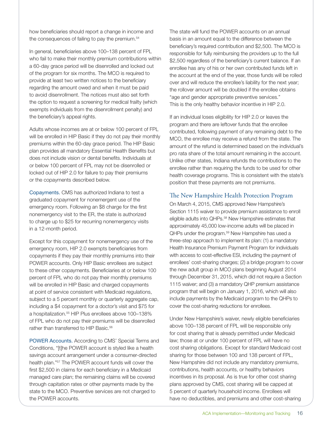how beneficiaries should report a change in income and the consequences of failing to pay the premium.<sup>54</sup>

In general, beneficiaries above 100–138 percent of FPL who fail to make their monthly premium contributions within a 60-day grace period will be disenrolled and locked out of the program for six months. The MCO is required to provide at least two written notices to the beneficiary regarding the amount owed and when it must be paid to avoid disenrollment. The notices must also set forth the option to request a screening for medical frailty (which exempts individuals from the disenrollment penalty) and the beneficiary's appeal rights.

Adults whose incomes are at or below 100 percent of FPL will be enrolled in HIP Basic if they do not pay their monthly premiums within the 60-day grace period. The HIP Basic plan provides all mandatory Essential Health Benefits but does not include vision or dental benefits. Individuals at or below 100 percent of FPL may not be disenrolled or locked out of HIP 2.0 for failure to pay their premiums or the copayments described below.

Copayments. CMS has authorized Indiana to test a graduated copayment for nonemergent use of the emergency room. Following an \$8 charge for the first nonemergency visit to the ER, the state is authorized to charge up to \$25 for recurring nonemergency visits in a 12-month period.

Except for this copayment for nonemergency use of the emergency room, HIP 2.0 exempts beneficiaries from copayments if they pay their monthly premiums into their POWER accounts. Only HIP Basic enrollees are subject to these other copayments. Beneficiaries at or below 100 percent of FPL who do not pay their monthly premiums will be enrolled in HIP Basic and charged copayments at point of service consistent with Medicaid regulations, subject to a 5 percent monthly or quarterly aggregate cap, including a \$4 copayment for a doctor's visit and \$75 for a hospitalization.55 HIP Plus enrollees above 100–138% of FPL who do not pay their premiums will be disenrolled rather than transferred to HIP Basic.<sup>56</sup>

POWER Accounts. According to CMS' Special Terms and Conditions, "[t]he POWER account is styled like a health savings account arrangement under a consumer-directed health plan."57 The POWER account funds will cover the first \$2,500 in claims for each beneficiary in a Medicaid managed care plan; the remaining claims will be covered through capitation rates or other payments made by the state to the MCO. Preventive services are not charged to the POWER accounts.

The state will fund the POWER accounts on an annual basis in an amount equal to the difference between the beneficiary's required contribution and \$2,500. The MCO is responsible for fully reimbursing the providers up to the full \$2,500 regardless of the beneficiary's current balance. If an enrollee has any of his or her own contributed funds left in the account at the end of the year, those funds will be rolled over and will reduce the enrollee's liability for the next year; the rollover amount will be doubled if the enrollee obtains "age and gender appropriate preventive services." This is the only healthy behavior incentive in HIP 2.0.

If an individual loses eligibility for HIP 2.0 or leaves the program and there are leftover funds that the enrollee contributed, following payment of any remaining debt to the MCO, the enrollee may receive a refund from the state. The amount of the refund is determined based on the individual's pro rata share of the total amount remaining in the account. Unlike other states, Indiana refunds the contributions to the enrollee rather than requiring the funds to be used for other health coverage programs. This is consistent with the state's position that these payments are not premiums.

### The New Hampshire Health Protection Program

On March 4, 2015, CMS approved New Hampshire's Section 1115 waiver to provide premium assistance to enroll eligible adults into QHPs.<sup>58</sup> New Hampshire estimates that approximately 45,000 low-income adults will be placed in QHPs under the program.<sup>59</sup> New Hampshire has used a three-step approach to implement its plan: (1) a mandatory Health Insurance Premium Payment Program for individuals with access to cost-effective ESI, including the payment of enrollees' cost-sharing charges; (2) a bridge program to cover the new adult group in MCO plans beginning August 2014 through December 31, 2015, which did not require a Section 1115 waiver; and (3) a mandatory QHP premium assistance program that will begin on January 1, 2016, which will also include payments by the Medicaid program to the QHPs to cover the cost-sharing reductions for enrollees.

Under New Hampshire's waiver, newly eligible beneficiaries above 100–138 percent of FPL will be responsible only for cost sharing that is already permitted under Medicaid law; those at or under 100 percent of FPL will have no cost sharing obligations. Except for standard Medicaid cost sharing for those between 100 and 138 percent of FPL, New Hampshire did not include any mandatory premiums, contributions, health accounts, or healthy behaviors incentives in its proposal. As is true for other cost sharing plans approved by CMS, cost sharing will be capped at 5 percent of quarterly household income. Enrollees will have no deductibles, and premiums and other cost-sharing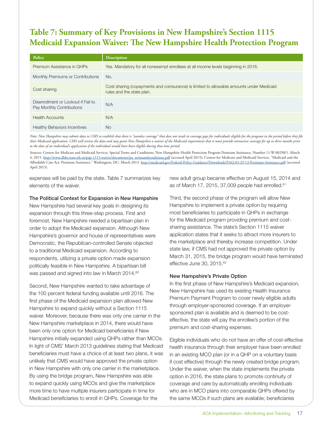# **Table 7: Summary of Key Provisions in New Hampshire's Section 1115 Medicaid Expansion Waiver: The New Hampshire Health Protection Program**

| Policy                                                           | Description                                                                                                           |
|------------------------------------------------------------------|-----------------------------------------------------------------------------------------------------------------------|
| Premium Assistance in OHPs                                       | Yes. Mandatory for all nonexempt enrollees at all income levels beginning in 2016.                                    |
| Monthly Premiums or Contributions                                | No.                                                                                                                   |
| Cost sharing                                                     | Cost sharing (copayments and coinsurance) is limited to allowable amounts under Medicaid<br>rules and the state plan. |
| Disenrollment or Lockout if Fail to<br>Pay Monthly Contributions | N/A                                                                                                                   |
| <b>Health Accounts</b>                                           | N/A                                                                                                                   |
| <b>Healthy Behaviors Incentives</b>                              | <b>No</b>                                                                                                             |

*Note: New Hampshire may submit data to CMS to establish that there is "seamless coverage" that does not result in coverage gaps for individuals eligible for the program in the period before they file their Medicaid application. CMS will review the data and may grant New Hampshire a waiver of the Medicaid requirement that it must provide retroactive coverage for up to three months prior to the date of an individual's application if the individual would have been eligible during that time period.*

Sources: Centers for Medicare and Medicaid Services, Special Terms and Conditions, New Hampshire Health Protection Program Premium Assistance, Number 11-W-00298/1. March 4, 2015. [http://www.dhhs.state.nh.us/pap-1115-waiver/documents/pa\\_termsandconditions.pdf](http://www.dhhs.state.nh.us/pap-1115-waiver/documents/pa_termsandconditions.pdf) (accessed April 2015); Centers for Medicare and Medicaid Services, "Medicaid and the Affordable Care Act: Premium Assistance." Washington, DC: March 2013.<http://medicaid.gov/Federal-Policy-Guidance/Downloads/FAQ-03-29-13-Premium-Assistance.pdf> (accessed April 2015).

expenses will be paid by the state. Table 7 summarizes key elements of the waiver.

The Political Context for Expansion in New Hampshire

New Hampshire had several key goals in designing its expansion through this three-step process. First and foremost, New Hampshire needed a bipartisan plan in order to adopt the Medicaid expansion. Although New Hampshire's governor and house of representatives were Democratic, the Republican-controlled Senate objected to a traditional Medicaid expansion. According to respondents, utilizing a private option made expansion politically feasible in New Hampshire. A bipartisan bill was passed and signed into law in March 2014.<sup>60</sup>

Second, New Hampshire wanted to take advantage of the 100 percent federal funding available until 2016. The first phase of the Medicaid expansion plan allowed New Hampshire to expand quickly without a Section 1115 waiver. Moreover, because there was only one carrier in the New Hampshire marketplace in 2014, there would have been only one option for Medicaid beneficiaries if New Hampshire initially expanded using QHPs rather than MCOs. In light of CMS' March 2013 guidelines stating that Medicaid beneficiaries must have a choice of at least two plans, it was unlikely that CMS would have approved the private option in New Hampshire with only one carrier in the marketplace. By using the bridge program, New Hampshire was able to expand quickly using MCOs and give the marketplace more time to have multiple insurers participate in time for Medicaid beneficiaries to enroll in QHPs. Coverage for the

new adult group became effective on August 15, 2014 and as of March 17, 2015, 37,009 people had enrolled.<sup>61</sup>

Third, the second phase of the program will allow New Hampshire to implement a private option by requiring most beneficiaries to participate in QHPs in exchange for the Medicaid program providing premium and costsharing assistance. The state's Section 1115 waiver application states that it seeks to attract more insurers to the marketplace and thereby increase competition. Under state law, if CMS had not approved the private option by March 31, 2015, the bridge program would have terminated effective June 30, 2015.<sup>62</sup>

#### New Hampshire's Private Option

In the first phase of New Hampshire's Medicaid expansion, New Hampshire has used its existing Health Insurance Premium Payment Program to cover newly eligible adults through employer-sponsored coverage. If an employersponsored plan is available and is deemed to be costeffective, the state will pay the enrollee's portion of the premium and cost-sharing expenses.

Eligible individuals who do not have an offer of cost-effective health insurance through their employer have been enrolled in an existing MCO plan (or in a QHP on a voluntary basis if cost effective) through the newly created bridge program. Under the waiver, when the state implements the private option in 2016, the state plans to promote continuity of coverage and care by automatically enrolling individuals who are in MCO plans into comparable QHPs offered by the same MCOs if such plans are available; beneficiaries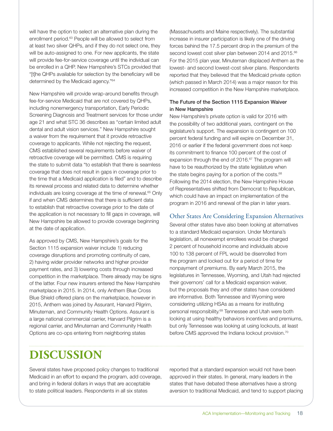will have the option to select an alternative plan during the enrollment period.<sup>63</sup> People will be allowed to select from at least two silver QHPs, and if they do not select one, they will be auto-assigned to one. For new applicants, the state will provide fee-for-service coverage until the individual can be enrolled in a QHP. New Hampshire's STCs provided that "[t]he QHPs available for selection by the beneficiary will be determined by the Medicaid agency."64

New Hampshire will provide wrap-around benefits through fee-for-service Medicaid that are not covered by QHPs, including nonemergency transportation, Early Periodic Screening Diagnosis and Treatment services for those under age 21 and what STC 36 describes as "certain limited adult dental and adult vision services." New Hampshire sought a waiver from the requirement that it provide retroactive coverage to applicants. While not rejecting the request, CMS established several requirements before waiver of retroactive coverage will be permitted. CMS is requiring the state to submit data "to establish that there is seamless coverage that does not result in gaps in coverage prior to the time that a Medicaid application is filed" and to describe its renewal process and related data to determine whether individuals are losing coverage at the time of renewal.<sup>65</sup> Only if and when CMS determines that there is sufficient data to establish that retroactive coverage prior to the date of the application is not necessary to fill gaps in coverage, will New Hampshire be allowed to provide coverage beginning at the date of application.

As approved by CMS, New Hampshire's goals for the Section 1115 expansion waiver include 1) reducing coverage disruptions and promoting continuity of care, 2) having wider provider networks and higher provider payment rates, and 3) lowering costs through increased competition in the marketplace. There already may be signs of the latter. Four new insurers entered the New Hampshire marketplace in 2015. In 2014, only Anthem Blue Cross Blue Shield offered plans on the marketplace, however in 2015, Anthem was joined by Assurant, Harvard Pilgrim, Minuteman, and Community Health Options. Assurant is a large national commercial carrier, Harvard Pilgrim is a regional carrier, and Minuteman and Community Health Options are co-ops entering from neighboring states

(Massachusetts and Maine respectively). The substantial increase in insurer participation is likely one of the driving forces behind the 17.5 percent drop in the premium of the second lowest cost silver plan between 2014 and 2015.66 For the 2015 plan year, Minuteman displaced Anthem as the lowest- and second lowest-cost silver plans. Respondents reported that they believed that the Medicaid private option (which passed in March 2014) was a major reason for this increased competition in the New Hampshire marketplace.

### The Future of the Section 1115 Expansion Waiver in New Hampshire

New Hampshire's private option is valid for 2016 with the possibility of two additional years, contingent on the legislature's support. The expansion is contingent on 100 percent federal funding and will expire on December 31, 2016 or earlier if the federal government does not keep its commitment to finance 100 percent of the cost of expansion through the end of 2016.<sup>67</sup> The program will have to be reauthorized by the state legislature when the state begins paying for a portion of the costs.<sup>68</sup> Following the 2014 election, the New Hampshire House of Representatives shifted from Democrat to Republican, which could have an impact on implementation of the program in 2016 and renewal of the plan in later years.

## Other States Are Considering Expansion Alternatives

Several other states have also been looking at alternatives to a standard Medicaid expansion. Under Montana's legislation, all nonexempt enrollees would be charged 2 percent of household income and individuals above 100 to 138 percent of FPL would be disenrolled from the program and locked out for a period of time for nonpayment of premiums. By early March 2015, the legislatures in Tennessee, Wyoming, and Utah had rejected their governors' call for a Medicaid expansion waiver, but the proposals they and other states have considered are informative. Both Tennessee and Wyoming were considering utilizing HSAs as a means for instituting personal responsibility.<sup>69</sup> Tennessee and Utah were both looking at using healthy behaviors incentives and premiums, but only Tennessee was looking at using lockouts, at least before CMS approved the Indiana lockout provision.70

# **DISCUSSION**

Several states have proposed policy changes to traditional Medicaid in an effort to expand the program, add coverage, and bring in federal dollars in ways that are acceptable to state political leaders. Respondents in all six states

reported that a standard expansion would not have been approved in their states. In general, many leaders in the states that have debated these alternatives have a strong aversion to traditional Medicaid, and tend to support placing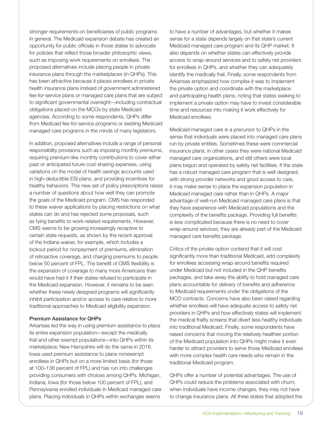stronger requirements on beneficiaries of public programs in general. The Medicaid expansion debate has created an opportunity for public officials in those states to advocate for policies that reflect those broader philosophic views, such as imposing work requirements on enrollees. The proposed alternatives include placing people in private insurance plans through the marketplaces (in QHPs). This has been attractive because it places enrollees in private health insurance plans instead of government administered fee-for-service plans or managed care plans that are subject to significant governmental oversight—including contractual obligations placed on the MCOs by state Medicaid agencies. According to some respondents, QHPs differ from Medicaid fee-for-service programs or existing Medicaid managed care programs in the minds of many legislators.

In addition, proposed alternatives include a range of personal responsibility provisions such as imposing monthly premiums, requiring premium-like monthly contributions to cover either past or anticipated future cost-sharing expenses, using variations on the model of health savings accounts used in high-deductible ESI plans, and providing incentives for healthy behaviors. This new set of policy prescriptions raises a number of questions about how well they can promote the goals of the Medicaid program. CMS has responded to these waiver applications by placing restrictions on what states can do and has rejected some proposals, such as tying benefits to work-related requirements. However, CMS seems to be growing increasingly receptive to certain state requests, as shown by the recent approval of the Indiana waiver, for example, which includes a lockout period for nonpayment of premiums, elimination of retroactive coverage, and charging premiums to people below 50 percent of FPL. The benefit of CMS flexibility is the expansion of coverage to many more Americans than would have had it if their states refused to participate in the Medicaid expansion. However, it remains to be seen whether these newly designed programs will significantly inhibit participation and/or access to care relative to more traditional approaches to Medicaid eligibility expansion.

#### Premium Assistance for QHPs

Arkansas led the way in using premium assistance to place its entire expansion population—except the medically frail and other exempt populations—into QHPs within its marketplace; New Hampshire will do the same in 2016. Iowa used premium assistance to place nonexempt enrollees in QHPs but on a more limited basis (for those at 100–138 percent of FPL) and has run into challenges providing consumers with choices among QHPs. Michigan, Indiana, Iowa (for those below 100 percent of FPL), and Pennsylvania enrolled individuals in Medicaid managed care plans. Placing individuals in QHPs within exchanges seems

to have a number of advantages, but whether it makes sense for a state depends largely on that state's current Medicaid managed care program and its QHP market. It also depends on whether states can effectively provide access to wrap-around services and to safety net providers for enrollees in QHPs, and whether they can adequately identify the medically frail. Finally, some respondents from Arkansas emphasized how complex it was to implement the private option and coordinate with the marketplace and participating health plans, noting that states seeking to implement a private option may have to invest considerable time and resources into making it work effectively for Medicaid enrollees.

Medicaid managed care is a precursor to QHPs in the sense that individuals were placed into managed care plans run by private entities. Sometimes these were commercial insurance plans; in other cases they were national Medicaid managed care organizations, and still others were local plans begun and operated by safety net facilities. If the state has a robust managed care program that is well designed, with strong provider networks and good access to care, it may make sense to place the expansion population in Medicaid managed care rather than in QHPs. A major advantage of well-run Medicaid managed care plans is that they have experience with Medicaid populations and the complexity of the benefits package. Providing full benefits is less complicated because there is no need to cover wrap-around services; they are already part of the Medicaid managed care benefits package.

Critics of the private option contend that it will cost significantly more than traditional Medicaid, add complexity for enrollees accessing wrap-around benefits required under Medicaid but not included in the QHP benefits packages, and take away the ability to hold managed care plans accountable for delivery of benefits and adherence to Medicaid requirements under the obligations of the MCO contracts. Concerns have also been raised regarding whether enrollees will have adequate access to safety net providers in QHPs and how effectively states will implement the medical frailty screens that divert less healthy individuals into traditional Medicaid. Finally, some respondents have raised concerns that moving the relatively healthier portion of the Medicaid population into QHPs might make it even harder to attract providers to serve those Medicaid enrollees with more complex health care needs who remain in the traditional Medicaid program.

QHPs offer a number of potential advantages. The use of QHPs could reduce the problems associated with churn; when individuals have income changes, they may not have to change insurance plans. All three states that adopted the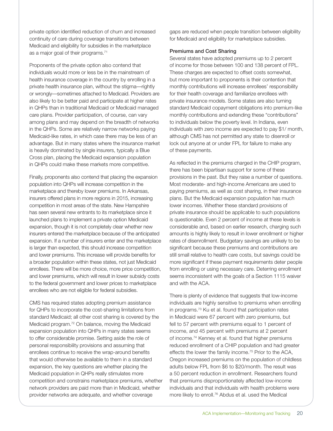private option identified reduction of churn and increased continuity of care during coverage transitions between Medicaid and eligibility for subsidies in the marketplace as a major goal of their programs.<sup>71</sup>

Proponents of the private option also contend that individuals would more or less be in the mainstream of health insurance coverage in the country by enrolling in a private health insurance plan, without the stigma—rightly or wrongly—sometimes attached to Medicaid. Providers are also likely to be better paid and participate at higher rates in QHPs than in traditional Medicaid or Medicaid managed care plans. Provider participation, of course, can vary among plans and may depend on the breadth of networks in the QHPs. Some are relatively narrow networks paying Medicaid-like rates, in which case there may be less of an advantage. But in many states where the insurance market is heavily dominated by single insurers, typically a Blue Cross plan, placing the Medicaid expansion population in QHPs could make these markets more competitive.

Finally, proponents also contend that placing the expansion population into QHPs will increase competition in the marketplace and thereby lower premiums. In Arkansas, insurers offered plans in more regions in 2015, increasing competition in most areas of the state. New Hampshire has seen several new entrants to its marketplace since it launched plans to implement a private option Medicaid expansion, though it is not completely clear whether new insurers entered the marketplace because of the anticipated expansion. If a number of insurers enter and the marketplace is larger than expected, this should increase competition and lower premiums. This increase will provide benefits for a broader population within these states, not just Medicaid enrollees. There will be more choice, more price competition, and lower premiums, which will result in lower subsidy costs to the federal government and lower prices to marketplace enrollees who are not eligible for federal subsidies.

CMS has required states adopting premium assistance for QHPs to incorporate the cost-sharing limitations from standard Medicaid; all other cost sharing is covered by the Medicaid program.72 On balance, moving the Medicaid expansion population into QHPs in many states seems to offer considerable promise. Setting aside the role of personal responsibility provisions and assuming that enrollees continue to receive the wrap-around benefits that would otherwise be available to them in a standard expansion, the key questions are whether placing the Medicaid population in QHPs really stimulates more competition and constrains marketplace premiums, whether network providers are paid more than in Medicaid, whether provider networks are adequate, and whether coverage

gaps are reduced when people transition between eligibility for Medicaid and eligibility for marketplace subsidies.

#### Premiums and Cost Sharing

Several states have adopted premiums up to 2 percent of income for those between 100 and 138 percent of FPL. These charges are expected to offset costs somewhat, but more important to proponents is their contention that monthly contributions will increase enrollees' responsibility for their health coverage and familiarize enrollees with private insurance models. Some states are also turning standard Medicaid copayment obligations into premium-like monthly contributions and extending these "contributions" to individuals below the poverty level. In Indiana, even individuals with zero income are expected to pay \$1/ month, although CMS has not permitted any state to disenroll or lock out anyone at or under FPL for failure to make any of these payments.

As reflected in the premiums charged in the CHIP program, there has been bipartisan support for some of these provisions in the past. But they raise a number of questions. Most moderate- and high-income Americans are used to paying premiums, as well as cost sharing, in their insurance plans. But the Medicaid expansion population has much lower incomes. Whether these standard provisions of private insurance should be applicable to such populations is questionable. Even 2 percent of income at these levels is considerable and, based on earlier research, charging such amounts is highly likely to result in lower enrollment or higher rates of disenrollment. Budgetary savings are unlikely to be significant because these premiums and contributions are still small relative to health care costs, but savings could be more significant if these payment requirements deter people from enrolling or using necessary care. Deterring enrollment seems inconsistent with the goals of a Section 1115 waiver and with the ACA.

There is plenty of evidence that suggests that low-income individuals are highly sensitive to premiums when enrolling in programs.73 Ku et al. found that participation rates in Medicaid were 67 percent with zero premiums, but fell to 57 percent with premiums equal to 1 percent of income, and 45 percent with premiums at 2 percent of income.74 Kenney et al. found that higher premiums reduced enrollment of a CHIP population and had greater effects the lower the family income.<sup>75</sup> Prior to the ACA, Oregon increased premiums on the population of childless adults below FPL from \$6 to \$20/month. The result was a 50 percent reduction in enrollment. Researchers found that premiums disproportionately affected low-income individuals and that individuals with health problems were more likely to enroll.<sup>76</sup> Abdus et al. used the Medical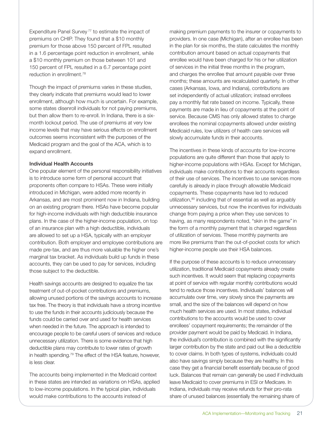Expenditure Panel Survey<sup>77</sup> to estimate the impact of premiums on CHIP. They found that a \$10 monthly premium for those above 150 percent of FPL resulted in a 1.6 percentage point reduction in enrollment, while a \$10 monthly premium on those between 101 and 150 percent of FPL resulted in a 6.7 percentage point reduction in enrollment.78

Though the impact of premiums varies in these studies, they clearly indicate that premiums would lead to lower enrollment, although how much is uncertain. For example, some states disenroll individuals for not paying premiums, but then allow them to re-enroll. In Indiana, there is a sixmonth lockout period. The use of premiums at very low income levels that may have serious effects on enrollment outcomes seems inconsistent with the purposes of the Medicaid program and the goal of the ACA, which is to expand enrollment.

#### Individual Health Accounts

One popular element of the personal responsibility initiatives is to introduce some form of personal account that proponents often compare to HSAs. These were initially introduced in Michigan, were added more recently in Arkansas, and are most prominent now in Indiana, building on an existing program there. HSAs have become popular for high-income individuals with high deductible insurance plans. In the case of the higher-income population, on top of an insurance plan with a high deductible, individuals are allowed to set up a HSA, typically with an employer contribution. Both employer and employee contributions are made pre-tax, and are thus more valuable the higher one's marginal tax bracket. As individuals build up funds in these accounts, they can be used to pay for services, including those subject to the deductible.

Health savings accounts are designed to equalize the tax treatment of out-of-pocket contributions and premiums, allowing unused portions of the savings accounts to increase tax free. The theory is that individuals have a strong incentive to use the funds in their accounts judiciously because the funds could be carried over and used for health services when needed in the future. The approach is intended to encourage people to be careful users of services and reduce unnecessary utilization. There is some evidence that high deductible plans may contribute to lower rates of growth in health spending.79 The effect of the HSA feature, however, is less clear.

The accounts being implemented in the Medicaid context in these states are intended as variations on HSAs, applied to low-income populations. In the typical plan, individuals would make contributions to the accounts instead of

making premium payments to the insurer or copayments to providers. In one case (Michigan), after an enrollee has been in the plan for six months, the state calculates the monthly contribution amount based on actual copayments that enrollee would have been charged for his or her utilization of services in the initial three months in the program, and charges the enrollee that amount payable over three months; these amounts are recalculated quarterly. In other cases (Arkansas, Iowa, and Indiana), contributions are set independently of actual utilization; instead enrollees pay a monthly flat rate based on income. Typically, these payments are made in lieu of copayments at the point of service. Because CMS has only allowed states to charge enrollees the nominal copayments allowed under existing Medicaid rules, low utilizers of health care services will slowly accumulate funds in their accounts.

The incentives in these kinds of accounts for low-income populations are quite different than those that apply to higher-income populations with HSAs. Except for Michigan, individuals make contributions to their accounts regardless of their use of services. The incentives to use services more carefully is already in place through allowable Medicaid copayments. These copayments have led to reduced utilization,<sup>80</sup> including that of essential as well as arguably unnecessary services, but now the incentives for individuals change from paying a price when they use services to having, as many respondents noted, "skin in the game" in the form of a monthly payment that is charged regardless of utilization of services. These monthly payments are more like premiums than the out-of-pocket costs for which higher-income people use their HSA balances.

If the purpose of these accounts is to reduce unnecessary utilization, traditional Medicaid copayments already create such incentives. It would seem that replacing copayments at point of service with regular monthly contributions would tend to reduce those incentives. Individuals' balances will accumulate over time, very slowly since the payments are small, and the size of the balances will depend on how much health services are used. In most states, individual contributions to the accounts would be used to cover enrollees' copayment requirements; the remainder of the provider payment would be paid by Medicaid. In Indiana, the individual's contribution is combined with the significantly larger contribution by the state and paid out like a deductible to cover claims. In both types of systems, individuals could also have savings simply because they are healthy. In this case they get a financial benefit essentially because of good luck. Balances that remain can generally be used if individuals leave Medicaid to cover premiums in ESI or Medicare. In Indiana, individuals may receive refunds for their pro-rata share of unused balances (essentially the remaining share of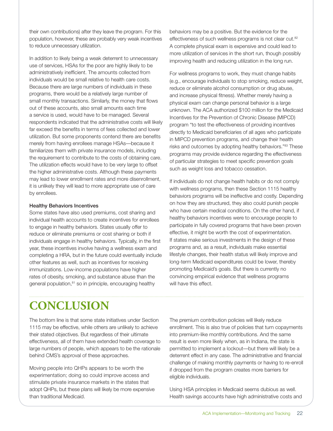their own contributions) after they leave the program. For this population, however, these are probably very weak incentives to reduce unnecessary utilization.

In addition to likely being a weak deterrent to unnecessary use of services, HSAs for the poor are highly likely to be administratively inefficient. The amounts collected from individuals would be small relative to health care costs. Because there are large numbers of individuals in these programs, there would be a relatively large number of small monthly transactions. Similarly, the money that flows out of these accounts, also small amounts each time a service is used, would have to be managed. Several respondents indicated that the administrative costs will likely far exceed the benefits in terms of fees collected and lower utilization. But some proponents contend there are benefits merely from having enrollees manage HSAs—because it familiarizes them with private insurance models, including the requirement to contribute to the costs of obtaining care. The utilization effects would have to be very large to offset the higher administrative costs. Although these payments may lead to lower enrollment rates and more disenrollment, it is unlikely they will lead to more appropriate use of care by enrollees.

#### Healthy Behaviors Incentives

Some states have also used premiums, cost sharing and individual health accounts to create incentives for enrollees to engage in healthy behaviors. States usually offer to reduce or eliminate premiums or cost sharing or both if individuals engage in healthy behaviors. Typically, in the first year, these incentives involve having a wellness exam and completing a HRA, but in the future could eventually include other features as well, such as incentives for receiving immunizations. Low-income populations have higher rates of obesity, smoking, and substance abuse than the general population,<sup>81</sup> so in principle, encouraging healthy

behaviors may be a positive. But the evidence for the effectiveness of such wellness programs is not clear cut.<sup>82</sup> A complete physical exam is expensive and could lead to more utilization of services in the short run, though possibly improving health and reducing utilization in the long run.

For wellness programs to work, they must change habits (e.g., encourage individuals to stop smoking, reduce weight, reduce or eliminate alcohol consumption or drug abuse, and increase physical fitness). Whether merely having a physical exam can change personal behavior is a large unknown. The ACA authorized \$100 million for the Medicaid Incentives for the Prevention of Chronic Disease (MIPCD) program "to test the effectiveness of providing incentives directly to Medicaid beneficiaries of all ages who participate in MIPCD prevention programs, and change their health risks and outcomes by adopting healthy behaviors."83 These programs may provide evidence regarding the effectiveness of particular strategies to meet specific prevention goals such as weight loss and tobacco cessation.

If individuals do not change health habits or do not comply with wellness programs, then these Section 1115 healthy behaviors programs will be ineffective and costly. Depending on how they are structured, they also could punish people who have certain medical conditions. On the other hand, if healthy behaviors incentives were to encourage people to participate in fully covered programs that have been proven effective, it might be worth the cost of experimentation. If states make serious investments in the design of these programs and, as a result, individuals make essential lifestyle changes, their health status will likely improve and long-term Medicaid expenditures could be lower, thereby promoting Medicaid's goals. But there is currently no convincing empirical evidence that wellness programs will have this effect.

# **CONCLUSION**

The bottom line is that some state initiatives under Section 1115 may be effective, while others are unlikely to achieve their stated objectives. But regardless of their ultimate effectiveness, all of them have extended health coverage to large numbers of people, which appears to be the rationale behind CMS's approval of these approaches.

Moving people into QHPs appears to be worth the experimentation; doing so could improve access and stimulate private insurance markets in the states that adopt QHPs, but these plans will likely be more expensive than traditional Medicaid.

The premium contribution policies will likely reduce enrollment. This is also true of policies that turn copayments into premium-like monthly contributions. And the same result is even more likely when, as in Indiana, the state is permitted to implement a lockout—but there will likely be a deterrent effect in any case. The administrative and financial challenge of making monthly payments or having to re-enroll if dropped from the program creates more barriers for eligible individuals.

Using HSA principles in Medicaid seems dubious as well. Health savings accounts have high administrative costs and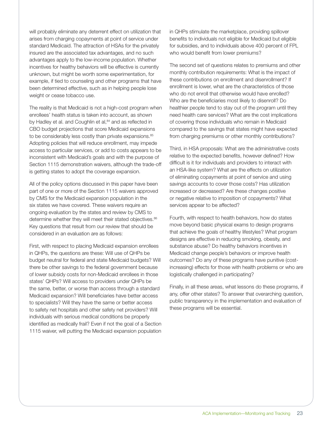will probably eliminate any deterrent effect on utilization that arises from charging copayments at point of service under standard Medicaid. The attraction of HSAs for the privately insured are the associated tax advantages, and no such advantages apply to the low-income population. Whether incentives for healthy behaviors will be effective is currently unknown, but might be worth some experimentation, for example, if tied to counseling and other programs that have been determined effective, such as in helping people lose weight or cease tobacco use.

The reality is that Medicaid is not a high-cost program when enrollees' health status is taken into account, as shown by Hadley et al. and Coughlin et al, <sup>84</sup> and as reflected in CBO budget projections that score Medicaid expansions to be considerably less costly than private expansions.<sup>85</sup> Adopting policies that will reduce enrollment, may impede access to particular services, or add to costs appears to be inconsistent with Medicaid's goals and with the purpose of Section 1115 demonstration waivers, although the trade-off is getting states to adopt the coverage expansion.

All of the policy options discussed in this paper have been part of one or more of the Section 1115 waivers approved by CMS for the Medicaid expansion population in the six states we have covered. These waivers require an ongoing evaluation by the states and review by CMS to determine whether they will meet their stated objectives.<sup>86</sup> Key questions that result from our review that should be considered in an evaluation are as follows:

First, with respect to placing Medicaid expansion enrollees in QHPs, the questions are these: Will use of QHPs be budget neutral for federal and state Medicaid budgets? Will there be other savings to the federal government because of lower subsidy costs for non-Medicaid enrollees in those states' QHPs? Will access to providers under QHPs be the same, better, or worse than access through a standard Medicaid expansion? Will beneficiaries have better access to specialists? Will they have the same or better access to safety net hospitals and other safety net providers? Will individuals with serious medical conditions be properly identified as medically frail? Even if not the goal of a Section 1115 waiver, will putting the Medicaid expansion population

in QHPs stimulate the marketplace, providing spillover benefits to individuals not eligible for Medicaid but eligible for subsidies, and to individuals above 400 percent of FPL who would benefit from lower premiums?

The second set of questions relates to premiums and other monthly contribution requirements: What is the impact of these contributions on enrollment and disenrollment? If enrollment is lower, what are the characteristics of those who do not enroll that otherwise would have enrolled? Who are the beneficiaries most likely to disenroll? Do healthier people tend to stay out of the program until they need health care services? What are the cost implications of covering those individuals who remain in Medicaid compared to the savings that states might have expected from charging premiums or other monthly contributions?

Third, in HSA proposals: What are the administrative costs relative to the expected benefits, however defined? How difficult is it for individuals and providers to interact with an HSA-like system? What are the effects on utilization of eliminating copayments at point of service and using savings accounts to cover those costs? Has utilization increased or decreased? Are these changes positive or negative relative to imposition of copayments? What services appear to be affected?

Fourth, with respect to health behaviors, how do states move beyond basic physical exams to design programs that achieve the goals of healthy lifestyles? What program designs are effective in reducing smoking, obesity, and substance abuse? Do healthy behaviors incentives in Medicaid change people's behaviors or improve health outcomes? Do any of these programs have punitive (costincreasing) effects for those with health problems or who are logistically challenged in participating?

Finally, in all these areas, what lessons do these programs, if any, offer other states? To answer that overarching question, public transparency in the implementation and evaluation of these programs will be essential.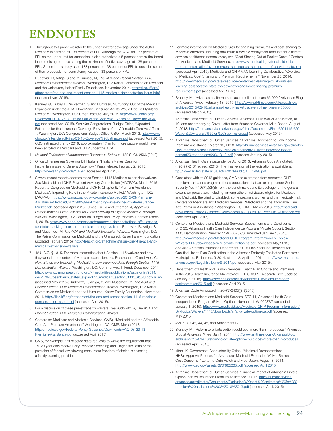# **ENDNOTES**

- 1. Throughout this paper we refer to the upper limit for coverage under the ACA's Medicaid expansion as 138 percent of FPL. Although the ACA set 133 percent of FPL as the upper limit for expansion, it also authorized a 5 percent across-the-board income disregard, thus setting the maximum effective coverage at 138 percent of FPL. States in this study used 133 percent or 138 percent of FPL to describe some of their proposals; for consistency we use 138 percent of FPL.
- 2. Rudowitz, R, Artiga, S and Musumeci, M, *The ACA and Recent Section 1115 Medicaid Demonstration Waivers*. Washington, DC: Kaiser Commission on Medicaid and the Uninsured, Kaiser Family Foundation. November 2014. [http://files.kff.org/](http://files.kff.org/attachment/the-aca-and-recent-section-1115-medicaid-demonstration-issue-brief) [attachment/the-aca-and-recent-section-1115-medicaid-demonstration-issue-brief](http://files.kff.org/attachment/the-aca-and-recent-section-1115-medicaid-demonstration-issue-brief) (accessed April 2015).
- 3. Kenney, G, Dubay, L, Zuckerman, S and Huntress, M, "Opting Out of the Medicaid Expansion under the ACA: How Many Uninsured Adults Would Not Be Eligible for Medicaid." Washington, DC: Urban Institute. July 2012. [http://www.urban.org/](http://www.urban.org/UploadedPDF/412607-Opting-Out-of-the-Medicaid-Expansion-Under-the-ACA.pdf) [UploadedPDF/412607-Opting-Out-of-the-Medicaid-Expansion-Under-the-ACA.](http://www.urban.org/UploadedPDF/412607-Opting-Out-of-the-Medicaid-Expansion-Under-the-ACA.pdf) [pdf](http://www.urban.org/UploadedPDF/412607-Opting-Out-of-the-Medicaid-Expansion-Under-the-ACA.pdf) (accessed April 2015). *See also* Congressional Budget Office, "Updated Estimates for the Insurance Coverage Provisions of the Affordable Care Act," Table 1. Washington, DC: Congressional Budget Office (CBO). March 2012. [http://www.](http://www.cbo.gov/sites/default/files/03-13-Coverage%20Estimates.pdf) [cbo.gov/sites/default/files/03-13-Coverage%20Estimates.pdf](http://www.cbo.gov/sites/default/files/03-13-Coverage%20Estimates.pdf) (accessed April 2015). CBO estimated that by 2016, approximately 17 million more people would have been enrolled in Medicaid and CHIP under the ACA.
- 4. *National Federation of Independent Business v. Sebelius*, 132 S. Ct. 2566 (2012).
- 5. Office of Tennessee Governor Bill Haslam, "Haslam Makes Case for Insure Tennessee to General Assembly." Press release, February 2, 2015. <https://news.tn.gov/node/13492>(accessed April 2015).
- 6. Several recent reports address these Section 1115 Medicaid expansion waivers. *See* Medicaid and CHIP Payment Advisory Commission (MACPAC), March 2015 Report to Congress on Medicaid and CHIP, Chapter 5, "Premium Assistance: Medicaid's Expanding Role in the Private Insurance Market." Washington, DC: MACPAC. [https://www.macpac.gov/wp-content/uploads/2015/03/Premium-](https://www.macpac.gov/wp-content/uploads/2015/03/Premium-Assistance-Medicaid%E2%80%99s-Expanding-Role-in-the-Private-Insurance-Market.pdf)[Assistance-Medicaid%E2%80%99s-Expanding-Role-in-the-Private-Insurance-](https://www.macpac.gov/wp-content/uploads/2015/03/Premium-Assistance-Medicaid%E2%80%99s-Expanding-Role-in-the-Private-Insurance-Market.pdf)[Market.pdf](https://www.macpac.gov/wp-content/uploads/2015/03/Premium-Assistance-Medicaid%E2%80%99s-Expanding-Role-in-the-Private-Insurance-Market.pdf) (accessed April 2015); Cross-Call, J and Solomon, J, *Approved Demonstrations Offer Lessons for States Seeking to Expand Medicaid Through Waivers*. Washington, DC: Center on Budget and Policy Priorities (updated March 4, 2015). [http://www.cbpp.org/research/approved-demonstrations-offer-lessons](http://www.cbpp.org/research/approved-demonstrations-offer-lessons-for-states-seeking-to-expand-medicaid-through-waivers)[for-states-seeking-to-expand-medicaid-through-waivers](http://www.cbpp.org/research/approved-demonstrations-offer-lessons-for-states-seeking-to-expand-medicaid-through-waivers); Rudowitz, R, Artiga, S and Musumeci, M, *The ACA and Medicaid Expansion Waivers*. Washington, DC: The Kaiser Commission on Medicaid and the Uninsured, Kaiser Family Foundation (updated February 2015). [http://files.kff.org/attachment/issue-brief-the-aca-and](http://files.kff.org/attachment/issue-brief-the-aca-and-medicaid-expansion-waivers)[medicaid-expansion-waivers](http://files.kff.org/attachment/issue-brief-the-aca-and-medicaid-expansion-waivers)
- 7. 42 U.S.C. § 1315. For more information about Section 1115 waivers and how they work in the context of Medicaid expansion, *see* Rosenbaum, C and Hurt, C, *How States are Expanding Medicaid to Low-Income Adults through Section 1115 Demonstration Waivers*. Washington, DC: Commonwealth Fund. December 2014. [http://www.commonwealthfund.org/~/media/files/publications/issue-brief/2014/](http://www.commonwealthfund.org/~/media/files/publications/issue-brief/2014/dec/1794_rosenbaum_states_expanding_medicaid_section_1115_rb_v3.pdf?la=en) [dec/1794\\_rosenbaum\\_states\\_expanding\\_medicaid\\_section\\_1115\\_rb\\_v3.pdf?la=en](http://www.commonwealthfund.org/~/media/files/publications/issue-brief/2014/dec/1794_rosenbaum_states_expanding_medicaid_section_1115_rb_v3.pdf?la=en) (accessed May 2015); Rudowitz, R, Artiga, S, and Musemeci, M, *The ACA and Recent Section 1115 Medicaid Demonstration Waivers*. Washington, DC: Kaiser Commission on Medicaid and the Uninsured, Kaiser Family Foundation. November 2014. [http://files.kff.org/attachment/the-aca-and-recent-section-1115-medicaid](http://files.kff.org/attachment/the-aca-and-recent-section-1115-medicaid-demonstration-issue-brief)[demonstration-issue-brief](http://files.kff.org/attachment/the-aca-and-recent-section-1115-medicaid-demonstration-issue-brief) (accessed April 2015).
- 8. For a discussion of these pre-expansion waivers, *see* Rudowitz, R, *The ACA and Recent Section 1115 Medicaid Demonstration Waivers*.
- 9. Centers for Medicare and Medicaid Services (CMS), "Medicaid and the Affordable Care Act: Premium Assistance." Washington, DC: CMS. March 2013. [http://medicaid.gov/Federal-Policy-Guidance/Downloads/FAQ-03-29-13-](http://medicaid.gov/Federal-Policy-Guidance/Downloads/FAQ-03-29-13-Premium-Assistance.pdf) [Premium-Assistance.pdf](http://medicaid.gov/Federal-Policy-Guidance/Downloads/FAQ-03-29-13-Premium-Assistance.pdf) (accessed April 2015).
- 10. CMS, for example, has rejected state requests to waive the requirement that 19–20 year-olds receive Early Periodic Screening and Diagnostic Tests or the provision of federal law allowing consumers freedom of choice in selecting a family planning provider.
- 11. For more information on Medicaid rules for charging premiums and cost-sharing to Medicaid enrollees, including maximum allowable copayment amounts for different services at different income levels, *see* "Cost Sharing Out of Pocket Costs," Centers for Medicare and Medicaid Services. [http://www.medicaid.gov/medicaid-chip](http://www.medicaid.gov/medicaid-chip-program-information/by-topics/cost-sharing/cost-sharing-out-of-pocket-costs.html)[program-information/by-topics/cost-sharing/cost-sharing-out-of-pocket-costs.html](http://www.medicaid.gov/medicaid-chip-program-information/by-topics/cost-sharing/cost-sharing-out-of-pocket-costs.html) (accessed April 2015); Medicaid and CHIP MAC Learning Collaborative, "Overview of Medicaid Cost Sharing and Premium Requirements." November 25, 2014. [http://www.medicaid.gov/state-resource-center/mac-learning-collaboratives/](http://www.medicaid.gov/state-resource-center/mac-learning-collaboratives/learning-collaborative-state-toolbox/downloads/cost-sharing-premium-requirements.pdf) [learning-collaborative-state-toolbox/downloads/cost-sharing-premium](http://www.medicaid.gov/state-resource-center/mac-learning-collaboratives/learning-collaborative-state-toolbox/downloads/cost-sharing-premium-requirements.pdf)[requirements.pdf](http://www.medicaid.gov/state-resource-center/mac-learning-collaboratives/learning-collaborative-state-toolbox/downloads/cost-sharing-premium-requirements.pdf) (accessed April 2015).
- 12. Brantley, M, "Arkansas health marketplace enrollment nears 65,000." Arkansas Blog at *Arkansas Times*, February 18, 2015. [http://www.arktimes.com/ArkansasBlog/](http://www.arktimes.com/ArkansasBlog/archives/2015/02/18/arkansas-health-marketplace-enrollment-nears-65000) [archives/2015/02/18/arkansas-health-marketplace-enrollment-nears-65000](http://www.arktimes.com/ArkansasBlog/archives/2015/02/18/arkansas-health-marketplace-enrollment-nears-65000) (accessed March 2015).
- 13. Arkansas Department of Human Services, Arkansas 1115 Waiver Application, at 10, and accompanying Cover Letter from Arkansas Governor Mike Beebe. August 2, 2013. [http://humanservices.arkansas.gov/dms/Documents/Final%201115%20](http://humanservices.arkansas.gov/dms/Documents/Final%201115%20Waiver%20Materials%20for%20Submission.pdf) [Waiver%20Materials%20for%20Submission.pdf](http://humanservices.arkansas.gov/dms/Documents/Final%201115%20Waiver%20Materials%20for%20Submission.pdf) (accessed May 2015).
- 14. Arkansas Department of Human Services, "Arkansas' Approach to Low Income Premium Assistance." March 13, 2013. [http://humanservices.arkansas.gov/director/](http://humanservices.arkansas.gov/director/Documents/Arkansas%20Medicaid%20Private%20option%20letter%203.13.13.pdf) [Documents/Arkansas percent20Medicaid percent20Private percent20option](http://humanservices.arkansas.gov/director/Documents/Arkansas%20Medicaid%20Private%20option%20letter%203.13.13.pdf)  cent20letter percent203.13.13.pdf (accessed January 2015).
- 15. Arkansas Health Care Independence Act of 2013, Arkansas Code Annotated, § 20-77-2401 et seq. (2015). The final version of the legislation is available at <ftp://www.arkleg.state.ar.us/acts/2013/Public/ACT1498.pdf>.
- 16. Consistent with its 2013 guidance, CMS has exempted from approved QHP premium assistance programs those populations that are exempt under Social Security Act § 1937(a)(2)(B) from the benchmark benefits package for the general expansion population, including, among others, individuals eligible for Medicare and Medicaid, the blind or disabled, some pregnant women and the medically frail. Centers for Medicare and Medicaid Services, "Medicaid and the Affordable Care Act: Premium Assistance." Washington, DC: CMS. March 2013. [http://medicaid.](http://medicaid.gov/Federal-Policy-Guidance/Downloads/FAQ-03-29-13-Premium-Assistance.pdf) [gov/Federal-Policy-Guidance/Downloads/FAQ-03-29-13-Premium-Assistance.pdf](http://medicaid.gov/Federal-Policy-Guidance/Downloads/FAQ-03-29-13-Premium-Assistance.pdf) (accessed April 2015).
- 17. Centers for Medicare and Medicaid Services, Special Terms and Conditions, STC 30, Arkansas Health Care Independence Program (Private Option), Section 1115 Demonstration, Number 11-W-00287/6 (amended January 1, 2015). [http://www.medicaid.gov/Medicaid-CHIP-Program-Information/By-Topics/](http://www.medicaid.gov/Medicaid-CHIP-Program-Information/By-Topics/Waivers/1115/downloads/ar/ar-private-option-ca.pdf) [Waivers/1115/downloads/ar/ar-private-option-ca.pdf](http://www.medicaid.gov/Medicaid-CHIP-Program-Information/By-Topics/Waivers/1115/downloads/ar/ar-private-option-ca.pdf) (accessed May 2015). *See also* Arkansas Insurance Department, 2015 Plan Year Requirements for Qualified Health Plan Certification in the Arkansas Federally-Facilitated Partnership Marketplace. Bulletin no. 9-2014, at 11-12. April 11, 2014. [http://www.insurance.](http://www.insurance.arkansas.gov/Legal/Bulletins/9-2014.pdf) [arkansas.gov/Legal/Bulletins/9-2014.pdf](http://www.insurance.arkansas.gov/Legal/Bulletins/9-2014.pdf) (accessed May 2015).
- 18. Department of Health and Human Services, Health Plan Choice and Premiums in the 2015 Health Insurance Marketplace—HHS-ASPE Research Brief (updated January 8, 2015). [http://aspe.hhs.gov/health/reports/2015/premiumreport/](http://aspe.hhs.gov/health/reports/2015/premiumreport/healthpremium2015.pdf) [healthpremium2015.pdf](http://aspe.hhs.gov/health/reports/2015/premiumreport/healthpremium2015.pdf) (accessed April 2015).
- 19. Arkansas Code Annotated, § 20-77-2405(j)(1)(2015).
- 20. Centers for Medicare and Medicaid Services, STC 44, Arkansas Health Care Independence Program (Private Option), Number 11-W-00287/6 (amended January 1, 2015). [http://www.medicaid.gov/Medicaid-CHIP-Program-Information/](http://www.medicaid.gov/Medicaid-CHIP-Program-Information/By-Topics/Waivers/1115/downloads/ar/ar-private-option-ca.pdf) [By-Topics/Waivers/1115/downloads/ar/ar-private-option-ca.pdf](http://www.medicaid.gov/Medicaid-CHIP-Program-Information/By-Topics/Waivers/1115/downloads/ar/ar-private-option-ca.pdf) (accessed May 2015).
- 21. *Ibid*. STCs 42, 44, 45, and Attachment B.
- 22. Brantley, M, "Reform to private option could cost more than it produces." Arkansas Blog at *Arkansas Times*, Jan 1, 2014. [http://www.arktimes.com/ArkansasBlog/](http://www.arktimes.com/ArkansasBlog/archives/2015/01/01/reform-to-private-option-could-cost-more-than-it-produces) [archives/2015/01/01/reform-to-private-option-could-cost-more-than-it-produces](http://www.arktimes.com/ArkansasBlog/archives/2015/01/01/reform-to-private-option-could-cost-more-than-it-produces) (accessed April, 2015).
- 23. Iritani, K, Government Accountability Office, "Medicaid Demonstrations: HHS's Approval Process for Arkansas's Medicaid Expansion Waiver Raises Cost Concerns." Letter to Orrin Hatch and Fred Upton, August 8, 2014. <http://www.gao.gov/assets/670/665265.pdf>(accessed April 2015).
- 24. Arkansas Department of Human Services, "Financial Impact of Arkansas' Private Option Plan for Insurance Premium Assistance." 2013. [http://humanservices.](http://humanservices.arkansas.gov/director/Documents/Explaining%20cost%20estimates%20for%20premium%20assistance%203%2018%2013.pdf) [arkansas.gov/director/Documents/Explaining%20cost%20estimates%20for%20](http://humanservices.arkansas.gov/director/Documents/Explaining%20cost%20estimates%20for%20premium%20assistance%203%2018%2013.pdf) [premium%20assistance%203%2018%2013.pdf](http://humanservices.arkansas.gov/director/Documents/Explaining%20cost%20estimates%20for%20premium%20assistance%203%2018%2013.pdf) (accessed April, 2015).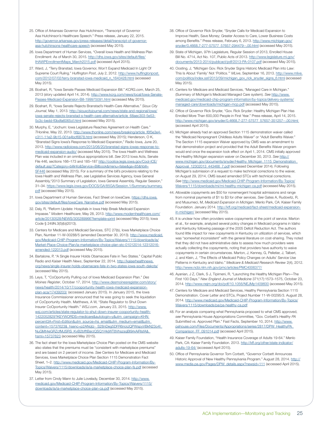- 25. Office of Arkansas Governor Asa Hutchinson, "Transcript of Governor Asa Hutchinson's Healthcare Speech." Press release, January 22, 2015. [http://governor.arkansas.gov/press-releases/detail/transcript-of-governor](http://governor.arkansas.gov/press-releases/detail/transcript-of-governor-asa-hutchinsons-healthcare-speech)[asa-hutchinsons-healthcare-speech](http://governor.arkansas.gov/press-releases/detail/transcript-of-governor-asa-hutchinsons-healthcare-speech) (accessed May 2015).
- 26. Iowa Department of Human Services, "Overall Iowa Health and Wellness Plan Enrollment: As of March 30, 2015. [http://dhs.iowa.gov/sites/default/files/](http://dhs.iowa.gov/sites/default/files/IHAWPEnrollmentMaps_March2015.pdf) [IHAWPEnrollmentMaps\\_March2015.pdf](http://dhs.iowa.gov/sites/default/files/IHAWPEnrollmentMaps_March2015.pdf) (accessed April 2015).
- 27. Ward, J, "Terry Branstad, Iowa Governor, Won't Expand Medicaid In Light Of Supreme Court Ruling." *Huffington Post*, July 2, 2012. [http://www.huffingtonpost.](http://www.huffingtonpost.com/2012/07/02/terry-branstad-iowa-medicaid_n_1643428.html) [com/2012/07/02/terry-branstad-iowa-medicaid\\_n\\_1643428.html](http://www.huffingtonpost.com/2012/07/02/terry-branstad-iowa-medicaid_n_1643428.html) (accessed May 2015).
- 28. Boshart, R, "Iowa Senate Passes Medicaid Expansion Bill." *<KCRG.com>*, March 25, 2013 (story updated April 14, 2014). http://www.kcrg.com/news/local/lowa-Senate-[Passes-Medicaid-Expansion-Bill-199975091.html](http://www.kcrg.com/news/local/Iowa-Senate-Passes-Medicaid-Expansion-Bill-199975091.html) (accessed May 2015).
- 29. Boshart, R, "Iowa Senate Rejects Branstad's Health-Care Alternative." *Sioux City Journal*, May 1, 2013. [http://siouxcityjournal.com/news/state-and-regional/iowa/](http://siouxcityjournal.com/news/state-and-regional/iowa/iowa-senate-rejects-branstad-s-health-care-alternative/article_68aec303-5e53-5c3c-bedd-f0bdfa6065cf.html) [iowa-senate-rejects-branstad-s-health-care-alternative/article\\_68aec303-5e53-](http://siouxcityjournal.com/news/state-and-regional/iowa/iowa-senate-rejects-branstad-s-health-care-alternative/article_68aec303-5e53-5c3c-bedd-f0bdfa6065cf.html) 3c-bedd-f0bdfa6065cf.html (accessed May 2015).
- 30. Murphy, E, "Jochum: Iowa Legislature Reaches Agreement on Health Care." THonline, May 22, 2013. [http://www.thonline.com/news/breaking/article\\_f6f5e3e4](http://www.thonline.com/news/breaking/article_f6f5e3e4-c311-11e2-9b15-001a4bcf6878.html) [c311-11e2-9b15-001a4bcf6878.html](http://www.thonline.com/news/breaking/article_f6f5e3e4-c311-11e2-9b15-001a4bcf6878.html) (accessed May 2015); Henderson, O K, "Branstad Signs Iowa's Response to Medicaid Expansion," Radio Iowa, June 20, 2013. [http://www.radioiowa.com/2013/06/20/branstad-signs-iowas-response-to](http://www.radioiowa.com/2013/06/20/branstad-signs-iowas-response-to-medicaid-expansion-audio/)[medicaid-expansion-audio/](http://www.radioiowa.com/2013/06/20/branstad-signs-iowas-response-to-medicaid-expansion-audio/) (accessed May 2015). The Iowa Health and Wellness Plan was included in an omnibus appropriations bill. *See* 2013 Iowa Acts, Senate File 446, sections 166–173 and 185–187 [http://coolice.legis.iowa.gov/Cool-ICE/](http://coolice.legis.iowa.gov/Cool-ICE/default.asp?Category=billinfo&Service=Billbook&menu=false&ga=85&hbill=SF446) [default.asp?Category=billinfo&Service=Billbook&menu=false&ga=85&hbill=](http://coolice.legis.iowa.gov/Cool-ICE/default.asp?Category=billinfo&Service=Billbook&menu=false&ga=85&hbill=SF446) [SF446](http://coolice.legis.iowa.gov/Cool-ICE/default.asp?Category=billinfo&Service=Billbook&menu=false&ga=85&hbill=SF446) (accessed May 2015). For a summary of the bill's provisions relating to the Iowa Health and Wellness Plan, *see* Legislative Services Agency, Iowa General Assembly,"2013 Summary of Legislation, Iowa General Assembly, Regular Session," 31–34. [https://www.legis.iowa.gov/DOCS/GA/85GA/Session.1/Summary/summary.](https://www.legis.iowa.gov/DOCS/GA/85GA/Session.1/Summary/summary.pdf) [pdf](https://www.legis.iowa.gov/DOCS/GA/85GA/Session.1/Summary/summary.pdf) (accessed May 2015).
- 31. Iowa Department of Human Services, Fact Sheet on IowaCare. [https://dhs.iowa.](https://dhs.iowa.gov/sites/default/files/IowaCare_Narrative.pdf) [gov/sites/default/files/IowaCare\\_Narrative.pdf](https://dhs.iowa.gov/sites/default/files/IowaCare_Narrative.pdf) (accessed May 2015).
- 32. Daly, R, "Reform Update: Hospitals in Iowa Help Break Medicaid Expansion Impasse." *Modern Healthcare*, May 28, 2013. [http://www.modernhealthcare.com/](http://www.modernhealthcare.com/article/20130528/NEWS/305289966?template=print) [article/20130528/NEWS/305289966?template=print](http://www.modernhealthcare.com/article/20130528/NEWS/305289966?template=print) (accessed May 2015); lowa Code § 249N.3(5)(b)(2013).
- 33. Centers for Medicare and Medicaid Services, STC 27(b), Iowa Marketplace Choice Plan, Number 11-W-00288/5 (amended December 30, 2013). [http://www.medicaid.](http://www.medicaid.gov/Medicaid-CHIP-Program-Information/By-Topics/Waivers/1115/downloads/ia/Market-Place-Choice-Plan/ia-marketplace-choice-plan-stc-01012014-12312016-amended-122013.pdf) [gov/Medicaid-CHIP-Program-Information/By-Topics/Waivers/1115/downloads/ia/](http://www.medicaid.gov/Medicaid-CHIP-Program-Information/By-Topics/Waivers/1115/downloads/ia/Market-Place-Choice-Plan/ia-marketplace-choice-plan-stc-01012014-12312016-amended-122013.pdf) [Market-Place-Choice-Plan/ia-marketplace-choice-plan-stc-01012014-12312016](http://www.medicaid.gov/Medicaid-CHIP-Program-Information/By-Topics/Waivers/1115/downloads/ia/Market-Place-Choice-Plan/ia-marketplace-choice-plan-stc-01012014-12312016-amended-122013.pdf) [amended-122013.pdf](http://www.medicaid.gov/Medicaid-CHIP-Program-Information/By-Topics/Waivers/1115/downloads/ia/Market-Place-Choice-Plan/ia-marketplace-choice-plan-stc-01012014-12312016-amended-122013.pdf) (accessed May 2015).
- 34. Bartalone, P, "A Single Insurer Holds Obamacare Fate in Two States." Capital Public Radio and Kaiser Health News, September 22, 2014. [http://kaiserhealthnews.](http://kaiserhealthnews.org/news/single-insurer-holds-obamacare-fate-in-two-states-iowa-south-dakota/) [org/news/single-insurer-holds-obamacare-fate-in-two-states-iowa-south-dakota/](http://kaiserhealthnews.org/news/single-insurer-holds-obamacare-fate-in-two-states-iowa-south-dakota/) (accessed May 2015).
- 35. Leys, T, "CoOportunity Pulling out of Iowa Medicaid Expansion Plan." *Des Moines Register*, October 17, 2014. [http://www.desmoinesregister.com/story/](http://www.desmoinesregister.com/story/news/health/2014/10/17/cooportunity-health-iowa-medicaid-expansion-plan-aca/17439203/) [news/health/2014/10/17/cooportunity-health-iowa-medicaid-expansion](http://www.desmoinesregister.com/story/news/health/2014/10/17/cooportunity-health-iowa-medicaid-expansion-plan-aca/17439203/)[plan-aca/17439203/](http://www.desmoinesregister.com/story/news/health/2014/10/17/cooportunity-health-iowa-medicaid-expansion-plan-aca/17439203/) (accessed January 2015). In January 2015, the Iowa Insurance Commissioner announced that he was going to seek the liquidation of CoOportunity Health. Matthews, A W, "State Regulator to Shut Down Insurer CoOportunity Health." <WSJ.com>, January 23, 2015. [http://www.](http://www.wsj.com/articles/state-regulator-to-shut-down-insurer-cooportunity-health-1422052829?KEYWORDS=medicare&autologin=y&utm_campaign=KHN%3A+First+Edition&utm_source=hs_email&utm_medium=email&utm_content=15737623&_hsenc=p2ANqtz-_S28nDeg5DFR6rioIJQPWspyVBkN23o4I_NuGMt4eGRZcfMJSRS_KvB2bfftBarzQSQ1HkjWT8VhszsqBl9rkAiRIsfA&_hsmi=15737623) [wsj.com/articles/state-regulator-to-shut-down-insurer-cooportunity-health-](http://www.wsj.com/articles/state-regulator-to-shut-down-insurer-cooportunity-health-1422052829?KEYWORDS=medicare&autologin=y&utm_campaign=KHN%3A+First+Edition&utm_source=hs_email&utm_medium=email&utm_content=15737623&_hsenc=p2ANqtz-_S28nDeg5DFR6rioIJQPWspyVBkN23o4I_NuGMt4eGRZcfMJSRS_KvB2bfftBarzQSQ1HkjWT8VhszsqBl9rkAiRIsfA&_hsmi=15737623)[1422052829?KEYWORDS=medicare&autologin=y&utm\\_campaign=KHN](http://www.wsj.com/articles/state-regulator-to-shut-down-insurer-cooportunity-health-1422052829?KEYWORDS=medicare&autologin=y&utm_campaign=KHN%3A+First+Edition&utm_source=hs_email&utm_medium=email&utm_content=15737623&_hsenc=p2ANqtz-_S28nDeg5DFR6rioIJQPWspyVBkN23o4I_NuGMt4eGRZcfMJSRS_KvB2bfftBarzQSQ1HkjWT8VhszsqBl9rkAiRIsfA&_hsmi=15737623)  [percent3A+First+Edition&utm\\_source=hs\\_email&utm\\_medium=email&utm\\_](http://www.wsj.com/articles/state-regulator-to-shut-down-insurer-cooportunity-health-1422052829?KEYWORDS=medicare&autologin=y&utm_campaign=KHN%3A+First+Edition&utm_source=hs_email&utm_medium=email&utm_content=15737623&_hsenc=p2ANqtz-_S28nDeg5DFR6rioIJQPWspyVBkN23o4I_NuGMt4eGRZcfMJSRS_KvB2bfftBarzQSQ1HkjWT8VhszsqBl9rkAiRIsfA&_hsmi=15737623) content=15737623&\_hsenc=p2ANqtz-\_S28nDeg5DFR6rioIJQPWspyVBkN23o4I [NuGMt4eGRZcfMJSRS\\_KvB2bfftBarzQSQ1HkjWT8VhszsqBl9rkAiRIsfA&\\_](http://www.wsj.com/articles/state-regulator-to-shut-down-insurer-cooportunity-health-1422052829?KEYWORDS=medicare&autologin=y&utm_campaign=KHN%3A+First+Edition&utm_source=hs_email&utm_medium=email&utm_content=15737623&_hsenc=p2ANqtz-_S28nDeg5DFR6rioIJQPWspyVBkN23o4I_NuGMt4eGRZcfMJSRS_KvB2bfftBarzQSQ1HkjWT8VhszsqBl9rkAiRIsfA&_hsmi=15737623) [hsmi=15737623](http://www.wsj.com/articles/state-regulator-to-shut-down-insurer-cooportunity-health-1422052829?KEYWORDS=medicare&autologin=y&utm_campaign=KHN%3A+First+Edition&utm_source=hs_email&utm_medium=email&utm_content=15737623&_hsenc=p2ANqtz-_S28nDeg5DFR6rioIJQPWspyVBkN23o4I_NuGMt4eGRZcfMJSRS_KvB2bfftBarzQSQ1HkjWT8VhszsqBl9rkAiRIsfA&_hsmi=15737623) (accessed May 2015).
- 36. The fact sheet for the Iowa Marketplace Choice Plan posted on the CMS website also states that the premiums must be "consistent with marketplace premiums" and are based on 2 percent of income. *See* Centers for Medicare and Medicaid Services, Iowa Marketplace Choice Plan Section 1115 Demonstration Fact Sheet, 1–2. [http://www.medicaid.gov/Medicaid-CHIP-Program-Information/By-](http://www.medicaid.gov/Medicaid-CHIP-Program-Information/By-Topics/Waivers/1115/downloads/ia/ia-marketplace-choice-plan-fs.pdf)[Topics/Waivers/1115/downloads/ia/ia-marketplace-choice-plan-fs.pdf](http://www.medicaid.gov/Medicaid-CHIP-Program-Information/By-Topics/Waivers/1115/downloads/ia/ia-marketplace-choice-plan-fs.pdf) (accessed May 2015).
- 37. Letter from Cindy Mann to Julie Lovelady, December 30, 2014. [http://www.](http://www.medicaid.gov/Medicaid-CHIP-Program-Information/By-Topics/Waivers/1115/downloads/ia/ia-marketplace-choice-plan-ca.pdf) [medicaid.gov/Medicaid-CHIP-Program-Information/By-Topics/Waivers/1115/](http://www.medicaid.gov/Medicaid-CHIP-Program-Information/By-Topics/Waivers/1115/downloads/ia/ia-marketplace-choice-plan-ca.pdf) [downloads/ia/ia-marketplace-choice-plan-ca.pdf](http://www.medicaid.gov/Medicaid-CHIP-Program-Information/By-Topics/Waivers/1115/downloads/ia/ia-marketplace-choice-plan-ca.pdf) (accessed May 2015).
- 38. Office of Governor Rick Snyder, "Snyder Calls for Medicaid Expansion to Improve Health, Save Money; Greater Access to Care, Lower Business Costs among Benefits." Press release, February 6, 2013. [http://www.michigan.gov/](http://www.michigan.gov/snyder/0,4668,7-277-57577_57657-294479--,00.html) [snyder/0,4668,7-277-57577\\_57657-294479--,00.html](http://www.michigan.gov/snyder/0,4668,7-277-57577_57657-294479--,00.html) (accessed May 2015).
- 39. State of Michigan, 97th Legislature, Regular Session of 2013, Enrolled House Bill No. 4714, Act No. 107, Public Acts of 2013. [http://www.legislature.mi.gov/](http://www.legislature.mi.gov/documents/2013-2014/publicact/pdf/2013-PA-0107.pdf) [documents/2013-2014/publicact/pdf/2013-PA-0107.pdf](http://www.legislature.mi.gov/documents/2013-2014/publicact/pdf/2013-PA-0107.pdf) (accessed May 2015).
- 40. Oosting, J, "Michigan Gov. Rick Snyder Signs Historic Medicaid Plan into Law: This Is About 'Family' Not 'Politics.'" *MLive*, September 16, 2013. [http://www.mlive.](http://www.mlive.com/politics/index.ssf/2013/09/michigan_gov_rick_snyder_signs_6.html) [com/politics/index.ssf/2013/09/michigan\\_gov\\_rick\\_snyder\\_signs\\_6.html](http://www.mlive.com/politics/index.ssf/2013/09/michigan_gov_rick_snyder_signs_6.html) (accessed May 2015).
- 41. Centers for Medicare and Medicaid Services, "Managed Care in Michigan." (Summary of Michigan's Medicaid Managed Care system). *See* [http://www.](http://www.medicaid.gov/medicaid-chip-program-information/by-topics/delivery-systems/managed-care/downloads/michigan-mcp.pdf) [medicaid.gov/medicaid-chip-program-information/by-topics/delivery-systems/](http://www.medicaid.gov/medicaid-chip-program-information/by-topics/delivery-systems/managed-care/downloads/michigan-mcp.pdf) [managed-care/downloads/michigan-mcp.pdf](http://www.medicaid.gov/medicaid-chip-program-information/by-topics/delivery-systems/managed-care/downloads/michigan-mcp.pdf) (accessed May 2015).
- 42. Office of Governor Rick Snyder, "Gov. Rick Snyder: Healthy Michigan Plan Has Enrolled More Than 600,000 People in First Year." Press release, April 14, 2015. [http://www.michigan.gov/snyder/0,4668,7-277-57577\\_57657-351257--,00.html](http://www.michigan.gov/snyder/0,4668,7-277-57577_57657-351257--,00.html) (accessed April 2015).
- 43. Michigan already had an approved Section 1115 demonstration waiver called the "Medicaid Nonpregnant Childless Adults Waiver" or "Adult Benefits Waiver." The Section 1115 expansion Waiver approved by CMS was an amendment to that demonstration project and provided that the Adult Benefits Waiver program would end once the expansion took effect on April 1, 2014. CMS initially approved the Healthy Michigan expansion waiver on December 30, 2013. *See* [http://](http://www.michigan.gov/documents/snyder/Healthy_Michigan_1115_Demonstration_Approval_12302013_443466_7.pdf) [www.michigan.gov/documents/snyder/Healthy\\_Michigan\\_1115\\_Demonstration\\_](http://www.michigan.gov/documents/snyder/Healthy_Michigan_1115_Demonstration_Approval_12302013_443466_7.pdf) [Approval\\_12302013\\_443466\\_7.pdf](http://www.michigan.gov/documents/snyder/Healthy_Michigan_1115_Demonstration_Approval_12302013_443466_7.pdf) (accessed December 2014). Following Michigan's submission of a request to make technical corrections to the waiver, on August 29, 2014, CMS issued amended STCs with technical corrections. *See* [http://www.medicaid.gov/Medicaid-CHIP-Program-Information/By-Topics/](http://www.medicaid.gov/Medicaid-CHIP-Program-Information/By-Topics/Waivers/1115/downloads/mi/mi-healthy-michigan-ca.pdf) [Waivers/1115/downloads/mi/mi-healthy-michigan-ca.pdf](http://www.medicaid.gov/Medicaid-CHIP-Program-Information/By-Topics/Waivers/1115/downloads/mi/mi-healthy-michigan-ca.pdf) (accessed May 2015).
- 44. Allowable copayments are \$50 for nonemergent hospital admissions and range from nominal payments of \$1 to \$3 for other services. *See* Gates A, Rudowitz, R, and Musumeci, M, *Medicaid Expansion in Michigan*. Menlo Park, CA: Kaiser Family Foundation. January 2014. [http://kff.org/medicaid/fact-sheet/medicaid-expansion](http://kff.org/medicaid/fact-sheet/medicaid-expansion-in-michigan/)[in-michigan/](http://kff.org/medicaid/fact-sheet/medicaid-expansion-in-michigan/) (accessed May 2015).
- 45. It is unclear how often providers waive copayments at the point of service. Marton et al., for example, analyzed several policy changes in Medicaid programs in Idaho and Kentucky following passage of the 2005 Deficit Reduction Act. The authors found little impact for new copayments in Kentucky on utilization of services, which was "somewhat inconsistent" with the general literature on cost-sharing. They noted that they did not have administrative data to assess how much providers were actually collecting the copayments, noting that providers have authority to waive copayments in certain circumstances. Marton, J, Kenney, G, Pelletier, J, Talbert, J, and Klein, J, "The Effects of Medicaid Policy Changes on Adults' Service Use Patterns in Kentucky and Idaho." *Medicare & Medicaid Research Review* 2(4), 2012. <http://www.ncbi.nlm.nih.gov/pmc/articles/PMC4006377/>
- 46. Ayanian, J Z, Clark, S J, Tipirneni, R, "Launching the Healthy Michigan Plan—The First 100 Days." *New England Journal of Medicine* 371(17):1573–1575, October 23, 2014. <http://www.nejm.org/doi/pdf/10.1056/NEJMp1409600>(accessed May 2015).
- 47. Centers for Medicare and Medicaid Services, Healthy Pennsylvania Section 1115 Demonstration. Cover Letter and STCs, Project Number 11-W-00295/3. August 28, 2014. [http://www.medicaid.gov/Medicaid-CHIP-Program-Information/By-Topics/](http://www.medicaid.gov/Medicaid-CHIP-Program-Information/By-Topics/Waivers/1115/downloads/pa/pa-healthy-ca.pdf) [Waivers/1115/downloads/pa/pa-healthy-ca.pdf](http://www.medicaid.gov/Medicaid-CHIP-Program-Information/By-Topics/Waivers/1115/downloads/pa/pa-healthy-ca.pdf)
- 48. For an analysis comparing what Pennsylvania proposed to what CMS approved, *see* Pennsylvania House Appropriations Committee, "Gov. Corbett's *Healthy PA* Submitted vs. Approved Plan." Fast Facts, September 10, 2014. [http://www.](http://www.pahouse.com/Files/Documents/Appropriations/series/2817/DPW_HealthyPA_Comparison_FF_091014.pdf) [pahouse.com/Files/Documents/Appropriations/series/2817/DPW\\_HealthyPA\\_](http://www.pahouse.com/Files/Documents/Appropriations/series/2817/DPW_HealthyPA_Comparison_FF_091014.pdf) [Comparison\\_FF\\_091014.pdf](http://www.pahouse.com/Files/Documents/Appropriations/series/2817/DPW_HealthyPA_Comparison_FF_091014.pdf) (accessed April 2015).
- 49. Kaiser Family Foundation, "Health Insurance Coverage of Adults 19-64." Menlo Park, CA: Kaiser Family Foundation. 2013. [http://kff.org/other/state-indicator/](http://kff.org/other/state-indicator/adults-19-64/) [adults-19-64/](http://kff.org/other/state-indicator/adults-19-64/) (accessed April 2015).
- 50. Office of Pennsylvania Governor Tom Corbett, "Governor Corbett Announces Historic Approval of New Healthy Pennsylvania Program." August 28, 2014. [http://](http://www.media.pa.gov/Pages/DPW_details.aspx?newsid=111) [www.media.pa.gov/Pages/DPW\\_details.aspx?newsid=111](http://www.media.pa.gov/Pages/DPW_details.aspx?newsid=111) (accessed April 2015).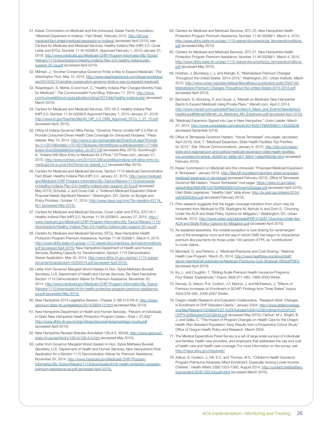- 51. Kaiser Commission on Medicaid and the Uninsured, Kaiser Family Foundation, "Medicaid Expansion in Indiana." Fact Sheet, February 2015. [http://kff.org/](http://kff.org/medicaid/fact-sheet/medicaid-expansion-in-indiana/) [medicaid/fact-sheet/medicaid-expansion-in-indiana/](http://kff.org/medicaid/fact-sheet/medicaid-expansion-in-indiana/) (accessed April 2015); *see* Centers for Medicare and Medicaid Services, Healthy Indiana Plan (HIP) 2.0. Cover Letter and STCs, Number 11-W-00296/5. Approved February 1, 2015–January 31, 2018. [http://www.medicaid.gov/Medicaid-CHIP-Program-Information/By-Topics/](http://www.medicaid.gov/Medicaid-CHIP-Program-Information/By-Topics/Waivers/1115/downloads/in/Healthy-Indiana-Plan-2/in-healthy-indiana-plan-support-20-ca.pdf) [Waivers/1115/downloads/in/Healthy-Indiana-Plan-2/in-healthy-indiana-plan](http://www.medicaid.gov/Medicaid-CHIP-Program-Information/By-Topics/Waivers/1115/downloads/in/Healthy-Indiana-Plan-2/in-healthy-indiana-plan-support-20-ca.pdf)[support-20-ca.pdf](http://www.medicaid.gov/Medicaid-CHIP-Program-Information/By-Topics/Waivers/1115/downloads/in/Healthy-Indiana-Plan-2/in-healthy-indiana-plan-support-20-ca.pdf) (accessed April 2015).
- 52. Millman, J, "Another Conservative Governor Finds a Way to Expand Medicaid." *The Washington Post*, May 15, 2014. [http://www.washingtonpost.com/blogs/wonkblog/](http://www.washingtonpost.com/blogs/wonkblog/wp/2014/05/15/another-conservative-governor-finds-a-way-to-expand-medicaid/) [wp/2014/05/15/another-conservative-governor-finds-a-way-to-expand-medicaid/](http://www.washingtonpost.com/blogs/wonkblog/wp/2014/05/15/another-conservative-governor-finds-a-way-to-expand-medicaid/)
- 53. Rosenbaum, S, Mehta, D and Hurt, C, "Healthy Indiana Plan Charges Monthly Fees for Medicaid." *The Commonwealth Fund Blog*, February 11, 2015. [http://www.](http://www.commonwealthfund.org/publications/blog/2015/feb/healthy-indiana-plan) [commonwealthfund.org/publications/blog/2015/feb/healthy-indiana-plan](http://www.commonwealthfund.org/publications/blog/2015/feb/healthy-indiana-plan) (accessed March 2015).
- 54. Centers for Medicare and Medicaid Services, STC VII-3. Healthy Indiana Plan (HIP) 2.0, Number 11-W-00296/5 Approved February 1, 2015–January 31, 2018. [http://www.in.gov/fssa/hip/files/IN\\_HIP\\_2.0\\_CMS\\_Approved\\_STCs\\_1\\_27\\_15.pdf](http://www.in.gov/fssa/hip/files/IN_HIP_2.0_CMS_Approved_STCs_1_27_15.pdf) (accessed April, 2015).
- 55. Office of Indiana Governor Mike Pence, "Governor Pence Unveils HIP 2.0 Plan to Provide Consumer-Driven Health Care Coverage for Uninsured Hoosiers." Press release, May 15, 2014. [http://www.in.gov/activecalendar/EventList.aspx?fromda](http://www.in.gov/activecalendar/EventList.aspx?fromdate=1/1/2014&todate=1/31/2015&display=Month&type=public&eventidn=171492&view=EventDetails&information_id=201108) [te=1/1/2014&todate=1/31/2015&display=Month&type=public&eventidn=171492](http://www.in.gov/activecalendar/EventList.aspx?fromdate=1/1/2014&todate=1/31/2015&display=Month&type=public&eventidn=171492&view=EventDetails&information_id=201108) [&view=EventDetails&information\\_id=201108](http://www.in.gov/activecalendar/EventList.aspx?fromdate=1/1/2014&todate=1/31/2015&display=Month&type=public&eventidn=171492&view=EventDetails&information_id=201108) (accessed May 2015); Goodnough, A, "Indiana Will Allow Entry to Medicaid for a Price." *<NYTimes.com>*, January 27, 2015. [http://www.nytimes.com/2015/01/28/us/politics/indiana-will-allow-entry-to](http://www.nytimes.com/2015/01/28/us/politics/indiana-will-allow-entry-to-medicaid-for-a-price.html?smid=tw-share&_r=1)[medicaid-for-a-price.html?smid=tw-share&\\_r=1](http://www.nytimes.com/2015/01/28/us/politics/indiana-will-allow-entry-to-medicaid-for-a-price.html?smid=tw-share&_r=1) (accessed May 2015).
- 56. Centers for Medicare and Medicaid Services, Section 1115 Medicaid Demonstration Fact Sheet. Healthy Indiana Plan (HIP) 2.0. January 27, 2015. [http://www.medicaid.](http://www.medicaid.gov/Medicaid-CHIP-Program-Information/By-Topics/Waivers/1115/downloads/in/Healthy-Indiana-Plan-2/in-healthy-indiana-plan-support-20-fs.pdf) [gov/Medicaid-CHIP-Program-Information/By-Topics/Waivers/1115/downloads/](http://www.medicaid.gov/Medicaid-CHIP-Program-Information/By-Topics/Waivers/1115/downloads/in/Healthy-Indiana-Plan-2/in-healthy-indiana-plan-support-20-fs.pdf) [in/Healthy-Indiana-Plan-2/in-healthy-indiana-plan-support-20-fs.pdf](http://www.medicaid.gov/Medicaid-CHIP-Program-Information/By-Topics/Waivers/1115/downloads/in/Healthy-Indiana-Plan-2/in-healthy-indiana-plan-support-20-fs.pdf) (accessed May 2015); Schubel, J. and Cross-Call, J, "Indiana's Medicaid Expansion Waiver Proposal Needs Significant Revision." Washington, DC: Center on Budget and Policy Priorities. October 17, 2014. http://www.cbpp.org/cms/?fa=view&id=4217#\_ ftn1 (accessed May 2015).
- 57. Centers for Medicare and Medicaid Services, Cover Letter and STCs, STC VII-1. Healthy Indiana Plan (HIP) 2.0, Number 11-W-00296/5. January 27, 2015. [http://](http://www.medicaid.gov/Medicaid-CHIP-Program-Information/By-Topics/Waivers/1115/downloads/in/Healthy-Indiana-Plan-2/in-healthy-indiana-plan-support-20-ca.pdf) [www.medicaid.gov/Medicaid-CHIP-Program-Information/By-Topics/Waivers/1115/](http://www.medicaid.gov/Medicaid-CHIP-Program-Information/By-Topics/Waivers/1115/downloads/in/Healthy-Indiana-Plan-2/in-healthy-indiana-plan-support-20-ca.pdf) [downloads/in/Healthy-Indiana-Plan-2/in-healthy-indiana-plan-support-20-ca.pdf](http://www.medicaid.gov/Medicaid-CHIP-Program-Information/By-Topics/Waivers/1115/downloads/in/Healthy-Indiana-Plan-2/in-healthy-indiana-plan-support-20-ca.pdf)
- 58. Centers for Medicare and Medicaid Services, STCs, New Hampshire Health Protection Program Premium Assistance, Number 11-W-00298/1. March 4, 2015. [http://www.dhhs.state.nh.us/pap-1115-waiver/documents/pa\\_termsandconditions.](http://www.dhhs.state.nh.us/pap-1115-waiver/documents/pa_termsandconditions.pdf) [pdf](http://www.dhhs.state.nh.us/pap-1115-waiver/documents/pa_termsandconditions.pdf) (accessed April 2015); New Hampshire Department of Health and Human Services, Building Capacity for Transformation: Section 1115 Demonstration Waiver Application. May 30, 2014. [http://www.dhhs.nh.gov/section-1115-waiver/](http://www.dhhs.nh.gov/section-1115-waiver/documents/application-05302014.pdf) [documents/application-05302014.pdf](http://www.dhhs.nh.gov/section-1115-waiver/documents/application-05302014.pdf) (accessed April 2015).
- 59. Letter from Governor Margaret Wood Hassan to Hon. Sylvia Mathews Burwell, Secretary, U.S. Department of Health and Human Services, Re: New Hampshire Section 1115 Demonstration Waiver for Premium Assistance. November 20, 2014. [http://www.medicaid.gov/Medicaid-CHIP-Program-Information/By-Topics/](http://www.medicaid.gov/Medicaid-CHIP-Program-Information/By-Topics/Waivers/1115/downloads/nh/nh-health-protection-program-premium-assistance-pa.pdf) [Waivers/1115/downloads/nh/nh-health-protection-program-premium-assistance](http://www.medicaid.gov/Medicaid-CHIP-Program-Information/By-Topics/Waivers/1115/downloads/nh/nh-health-protection-program-premium-assistance-pa.pdf)[pa.pdf](http://www.medicaid.gov/Medicaid-CHIP-Program-Information/By-Topics/Waivers/1115/downloads/nh/nh-health-protection-program-premium-assistance-pa.pdf) (accessed May 2015).
- 60. New Hampshire 2014 Legislative Session, Chapter 3, SB 413-FN-A. [http://www.](http://www.gencourt.state.nh.us/legislation/2014/SB0413.html) [gencourt.state.nh.us/legislation/2014/SB0413.html](http://www.gencourt.state.nh.us/legislation/2014/SB0413.html) (accessed May 2015).
- 61. New Hampshire Department of Health and Human Services, "Percent of Individuals in Open New Hampshire Health Protection Program Cases—Total = 37,009." <http://www.dhhs.nh.gov/ombp/nhhpp/documents/percentage-county.pdf> (accessed April 2015).
- 62. New Hampshire Revised Statutes Annotated 126-A:5, XXV(d). [http://www.gencourt.](http://www.gencourt.state.nh.us/rsa/html/x/126-A/126-A-5.htm) [state.nh.us/rsa/html/x/126-A/126-A-5.htm](http://www.gencourt.state.nh.us/rsa/html/x/126-A/126-A-5.htm) (accessed May 2015).
- 63. Letter from Governor Margaret Wood Hassan to Hon. Sylvia Mathews Burwell, Secretary, U.S. Department of Health and Human Services, New Hampshire's Final Application for a Section 1115 Demonstration Waiver for Premium Assistance. November 20, 2014. [http://www.medicaid.gov/Medicaid-CHIP-Program-](http://www.medicaid.gov/Medicaid-CHIP-Program-Information/By-Topics/Waivers/1115/downloads/nh/nh-health-protection-program-premium-assistance-pa.pdf)[Information/By-Topics/Waivers/1115/downloads/nh/nh-health-protection-program](http://www.medicaid.gov/Medicaid-CHIP-Program-Information/By-Topics/Waivers/1115/downloads/nh/nh-health-protection-program-premium-assistance-pa.pdf)[premium-assistance-pa.pdf](http://www.medicaid.gov/Medicaid-CHIP-Program-Information/By-Topics/Waivers/1115/downloads/nh/nh-health-protection-program-premium-assistance-pa.pdf) (accessed April 2015).
- 64. Centers for Medicare and Medicaid Services, STC 25, New Hampshire Health Protection Program Premium Assistance, Number 11-W-00298/1. March 4, 2015. [http://www.dhhs.state.nh.us/pap-1115-waiver/documents/pa\\_termsandconditions.](http://www.dhhs.state.nh.us/pap-1115-waiver/documents/pa_termsandconditions.pdf) [pdf](http://www.dhhs.state.nh.us/pap-1115-waiver/documents/pa_termsandconditions.pdf) (accessed May 2015).
- 65. Centers for Medicare and Medicaid Services, STC 21, New Hampshire Health Protection Program Premium Assistance, Number 11-W-00298/1. March 4, 2015. [http://www.dhhs.state.nh.us/pap-1115-waiver/documents/pa\\_termsandconditions.](http://www.dhhs.state.nh.us/pap-1115-waiver/documents/pa_termsandconditions.pdf) [pdf](http://www.dhhs.state.nh.us/pap-1115-waiver/documents/pa_termsandconditions.pdf) (accessed May 2015).
- 66. Holahan, J, Blumberg, L J, and Wengle, E, "Marketplace Premium Changes Throughout the United States. 2014–2015." Washington, DC: Urban Institute. March 2015. [http://www.urban.org/sites/default/files/alfresco/publication-pdfs/2000149-](http://www.urban.org/sites/default/files/alfresco/publication-pdfs/2000149-Marketplace-Premium-Changes-Throughout-the-United-States-2014-2015.pdf) [Marketplace-Premium-Changes-Throughout-the-United-States-2014-2015.pdf](http://www.urban.org/sites/default/files/alfresco/publication-pdfs/2000149-Marketplace-Premium-Changes-Throughout-the-United-States-2014-2015.pdf) (accessed April 2015).
- 67. Bachrach, D, Boozang, P, and Guyer, J, "Manatt on Medicaid: New Hampshire Elects to Expand Medicaid Using Private Plans." *<Manatt.com>*, April 2, 2014. [http://www.manatt.com/uploadedFiles/Content/4\\_News\\_and\\_Events/Newsletters/](http://www.manatt.com/uploadedFiles/Content/4_News_and_Events/Newsletters/HealthLaw@Manatt/Manatt_on_Medicaid_NH_Expansion.pdf) [HealthLaw@Manatt/Manatt\\_on\\_Medicaid\\_NH\\_Expansion.pdf](http://www.manatt.com/uploadedFiles/Content/4_News_and_Events/Newsletters/HealthLaw@Manatt/Manatt_on_Medicaid_NH_Expansion.pdf) (accessed April 2015)
- 68. "Medicaid Expansion Signed into Law in New Hampshire." *Union Leader*, March 27, 2014. <http://www.unionleader.com/article/20140327/NEWS0621/140329239> (accessed December 2014).
- 69. Office of Tennessee Governor Haslam, "Insure Tennessee" one-pager. (accessed April 2015); Graf, T. "Medicaid Expansion, State Health Facilities Top Priorities for 2015." *Star Tribune Communications*, January 6, 2015. [http://trib.com/news/](http://trib.com/news/state-and-regional/govt-and-politics/medicaid-expansion-state-health-facilities-top-priorities-for/article_d54b81a1-a69a-5fc7-8854-1cfea3560c8c.html) [state-and-regional/govt-and-politics/medicaid-expansion-state-health-facilities](http://trib.com/news/state-and-regional/govt-and-politics/medicaid-expansion-state-health-facilities-top-priorities-for/article_d54b81a1-a69a-5fc7-8854-1cfea3560c8c.html)[top-priorities-for/article\\_d54b81a1-a69a-5fc7-8854-1cfea3560c8c.html](http://trib.com/news/state-and-regional/govt-and-politics/medicaid-expansion-state-health-facilities-top-priorities-for/article_d54b81a1-a69a-5fc7-8854-1cfea3560c8c.html) (accessed February 2015).
- 70. Kaiser Commission on Medicaid and the Uninsured, "Proposed Medicaid Expansion in Tennessee." January 2015. [http://files.kff.org/attachment/fact-sheet-proposed](http://files.kff.org/attachment/fact-sheet-proposed-medicaid-expansion-in-tennessee)[medicaid-expansion-in-tennessee](http://files.kff.org/attachment/fact-sheet-proposed-medicaid-expansion-in-tennessee) (accessed February 2015); Office of Tennessee Governor Bill Haslam, "Insure Tennessee" one-pager. [https://news.tn.gov/sites/](https://news.tn.gov/sites/default/files/INSURE%20TENNESSEE%20one%20pager.pdf) [default/files/INSURE%20TENNESSEE%20one%20pager.pdf](https://news.tn.gov/sites/default/files/INSURE%20TENNESSEE%20one%20pager.pdf) (accessed April 2015); Utah State Legislature, "Healthy Utah" slide show. [http://le.utah.gov/interim/2014/](http://le.utah.gov/interim/2014/pdf/00005404.pdf) [pdf/00005404.pdf](http://le.utah.gov/interim/2014/pdf/00005404.pdf) (accessed February 2015).
- 71. Prior research suggests that the bigger coverage transition from churn may be movement from Medicaid to ESI. Buettgens M, Nichols A, and Dorn S, "Churning Under the ACA and State Policy Options for Mitigation." Washington, DC: Urban Institute. 2012. [http://www.urban.org/UploadedPDF/412587-Churning-Under-the-](http://www.urban.org/UploadedPDF/412587-Churning-Under-the-ACA-and-State-Policy-Options-for-Mitigation.pdf)[ACA-and-State-Policy-Options-for-Mitigation.pdf](http://www.urban.org/UploadedPDF/412587-Churning-Under-the-ACA-and-State-Policy-Options-for-Mitigation.pdf) (accessed April 2015).
- 72. As explained elsewhere, the notable exception is cost sharing for nonemergent use of the emergency room and the way in which CMS has begun to characterize premium-like payments for those under 100 percent of FPL as "contributions" to cover claims.
- 73. Machledt, D, and Perkins, J, "Medicaid Premiums and Cost Sharing." National Health Law Program. March 25, 2014. http://www.healthlaw.org/about/staff/ david-machledt/all-publications/Medicaid-Premiums-Cost-Sharing#.VShjcxPF9Fg (accessed April 2015).
- 74. Ku, L, and Coughlin, T, "Sliding-Scale Premium Health Insurance Programs: Four States' Experiences." *Inquiry* 36(4):471–480, 1999–2000 Winter.
- 75. Kenney, G, Allison, R A, Costich, J F, Marton, J, and McFeeters, J, "Effects of Premium Increases on Enrollment in SCHIP: Findings from Three States" *Inquiry* 43(4):378–392, 2006–2007 Winter.
- 76. Oregon Health Research and Evaluation Collaborative, "Research Brief: Changes in Enrollment of OHP Standard Clients." January 2004. [http://www.statecoverage.](http://www.statecoverage.org/files/Research%20Brief%20-%20Changes%20in%20Enrollment%20of%20OHP%20Standard%20Clients.pdf) [org/files/Research%20Brief%20-%20Changes%20in%20Enrollment%20of%20](http://www.statecoverage.org/files/Research%20Brief%20-%20Changes%20in%20Enrollment%20of%20OHP%20Standard%20Clients.pdf) [OHP%20Standard%20Clients.pdf](http://www.statecoverage.org/files/Research%20Brief%20-%20Changes%20in%20Enrollment%20of%20OHP%20Standard%20Clients.pdf) (accessed May 2015); Carlson, M J, Wright, B J, and Gallia, C, "The Impact of Program Changes on Health Care for the Oregon Health Plan Standard Population: Early Results from a Prospective Cohort Study." Office of Oregon Health Policy and Research. March 2004.
- 77. The Medical Expenditure Panel Survey is a set of large-scale surveys of individuals and families, health care providers, and employers that addresses the use and cost of health care and health care coverage. For more information on the survey, *see* http://meps.ahrg.gov/mepsweb/
- 78. Adbus, S, Hudson, J, Hill, S C, and Thomas, M S, "Children's Health Insurance Program Premiums Adversely Affect Enrollment, Especially Among Lower-Income Children." *Health Affairs* 33(8):1353–1360, August 2014. [http://content.healthaffairs.](http://content.healthaffairs.org/content/33/8/1353.full.pdf+html) [org/content/33/8/1353.full.pdf+html](http://content.healthaffairs.org/content/33/8/1353.full.pdf+html) (accessed March 2015).